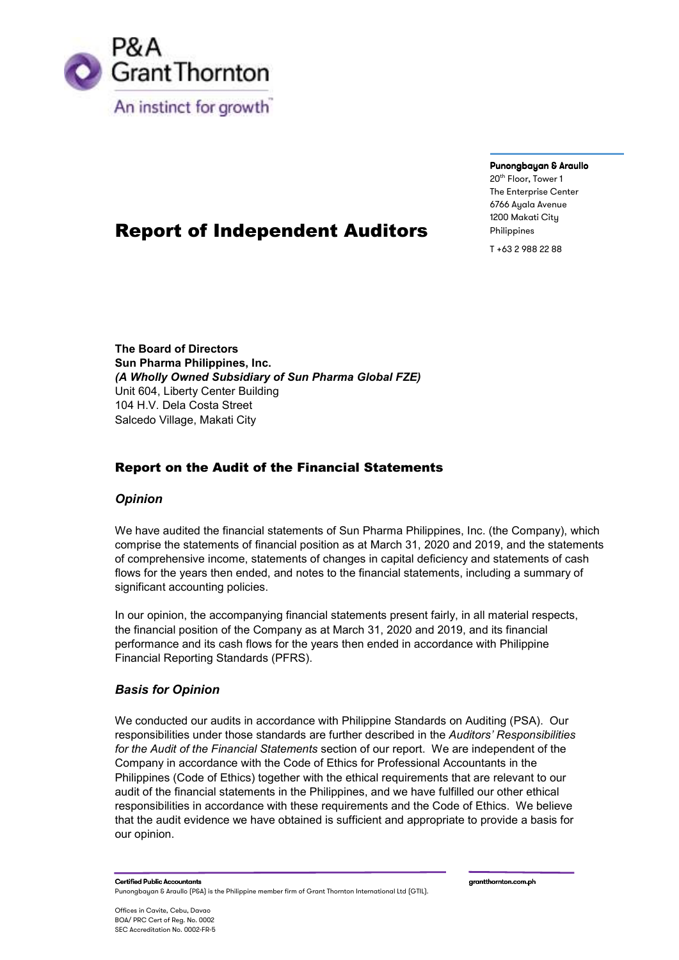

#### Punongbayan & Araullo

20<sup>th</sup> Floor, Tower 1 The Enterprise Center 6766 Ayala Avenue 1200 Makati City Philippines

T +63 2 988 22 88

# Report of Independent Auditors

**The Board of Directors Sun Pharma Philippines, Inc.**  *(A Wholly Owned Subsidiary of Sun Pharma Global FZE)* Unit 604, Liberty Center Building 104 H.V. Dela Costa Street Salcedo Village, Makati City

# Report on the Audit of the Financial Statements

# *Opinion*

We have audited the financial statements of Sun Pharma Philippines, Inc. (the Company), which comprise the statements of financial position as at March 31, 2020 and 2019, and the statements of comprehensive income, statements of changes in capital deficiency and statements of cash flows for the years then ended, and notes to the financial statements, including a summary of significant accounting policies.

In our opinion, the accompanying financial statements present fairly, in all material respects, the financial position of the Company as at March 31, 2020 and 2019, and its financial performance and its cash flows for the years then ended in accordance with Philippine Financial Reporting Standards (PFRS).

# *Basis for Opinion*

We conducted our audits in accordance with Philippine Standards on Auditing (PSA). Our responsibilities under those standards are further described in the *Auditors' Responsibilities for the Audit of the Financial Statements* section of our report. We are independent of the Company in accordance with the Code of Ethics for Professional Accountants in the Philippines (Code of Ethics) together with the ethical requirements that are relevant to our audit of the financial statements in the Philippines, and we have fulfilled our other ethical responsibilities in accordance with these requirements and the Code of Ethics. We believe that the audit evidence we have obtained is sufficient and appropriate to provide a basis for our opinion.

Certified Public Accountants grantthornton.com.ph grantthornton.com.ph Punongbayan & Araullo (P&A) is the Philippine member firm of Grant Thornton International Ltd (GTIL).

Offices in Cavite, Cebu, Davao BOA/ PRC Cert of Reg. No. 0002 SEC Accreditation No. 0002-FR-5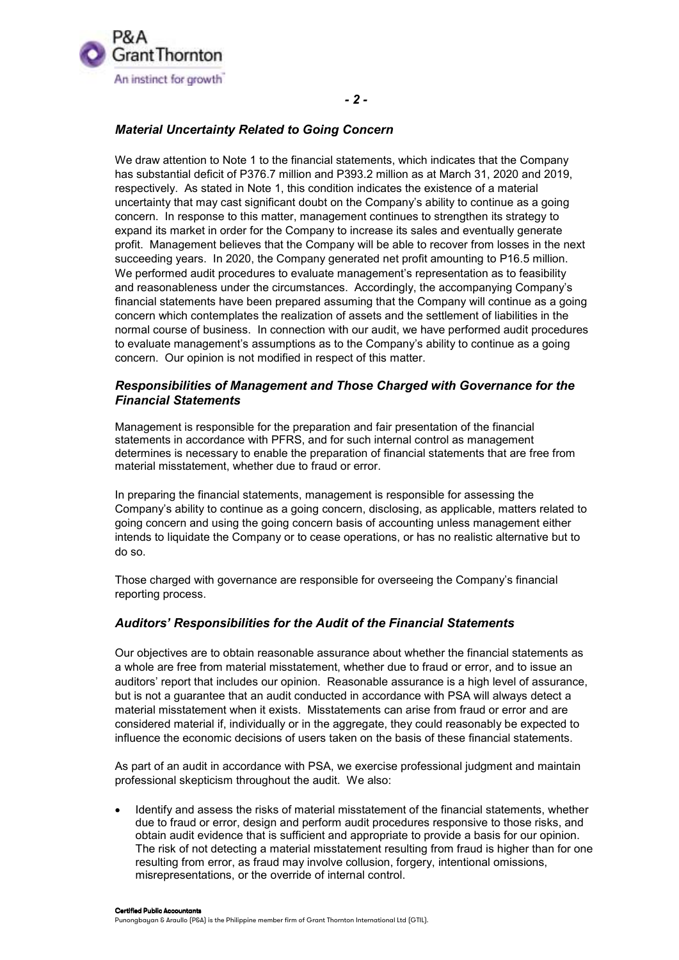

### *Material Uncertainty Related to Going Concern*

We draw attention to Note 1 to the financial statements, which indicates that the Company has substantial deficit of P376.7 million and P393.2 million as at March 31, 2020 and 2019, respectively. As stated in Note 1, this condition indicates the existence of a material uncertainty that may cast significant doubt on the Company's ability to continue as a going concern. In response to this matter, management continues to strengthen its strategy to expand its market in order for the Company to increase its sales and eventually generate profit. Management believes that the Company will be able to recover from losses in the next succeeding years. In 2020, the Company generated net profit amounting to P16.5 million. We performed audit procedures to evaluate management's representation as to feasibility and reasonableness under the circumstances. Accordingly, the accompanying Company's financial statements have been prepared assuming that the Company will continue as a going concern which contemplates the realization of assets and the settlement of liabilities in the normal course of business. In connection with our audit, we have performed audit procedures to evaluate management's assumptions as to the Company's ability to continue as a going concern. Our opinion is not modified in respect of this matter.

### *Responsibilities of Management and Those Charged with Governance for the Financial Statements*

Management is responsible for the preparation and fair presentation of the financial statements in accordance with PFRS, and for such internal control as management determines is necessary to enable the preparation of financial statements that are free from material misstatement, whether due to fraud or error.

In preparing the financial statements, management is responsible for assessing the Company's ability to continue as a going concern, disclosing, as applicable, matters related to going concern and using the going concern basis of accounting unless management either intends to liquidate the Company or to cease operations, or has no realistic alternative but to do so.

Those charged with governance are responsible for overseeing the Company's financial reporting process.

### *Auditors' Responsibilities for the Audit of the Financial Statements*

Our objectives are to obtain reasonable assurance about whether the financial statements as a whole are free from material misstatement, whether due to fraud or error, and to issue an auditors' report that includes our opinion. Reasonable assurance is a high level of assurance, but is not a guarantee that an audit conducted in accordance with PSA will always detect a material misstatement when it exists. Misstatements can arise from fraud or error and are considered material if, individually or in the aggregate, they could reasonably be expected to influence the economic decisions of users taken on the basis of these financial statements.

As part of an audit in accordance with PSA, we exercise professional judgment and maintain professional skepticism throughout the audit. We also:

 Identify and assess the risks of material misstatement of the financial statements, whether due to fraud or error, design and perform audit procedures responsive to those risks, and obtain audit evidence that is sufficient and appropriate to provide a basis for our opinion. The risk of not detecting a material misstatement resulting from fraud is higher than for one resulting from error, as fraud may involve collusion, forgery, intentional omissions, misrepresentations, or the override of internal control.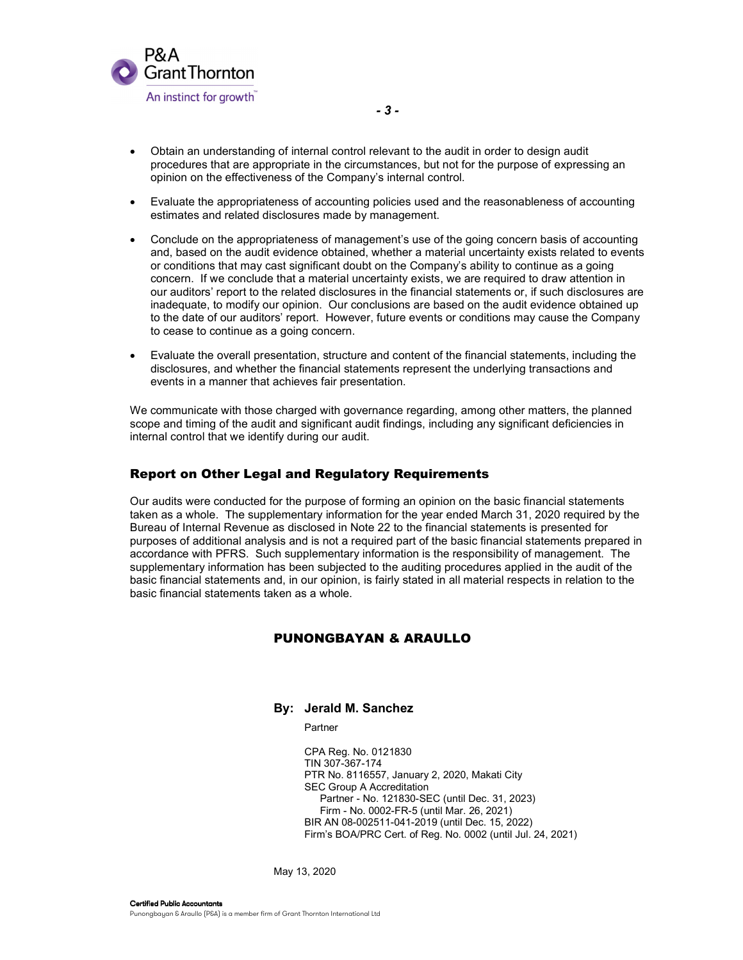

- Obtain an understanding of internal control relevant to the audit in order to design audit procedures that are appropriate in the circumstances, but not for the purpose of expressing an opinion on the effectiveness of the Company's internal control.
- Evaluate the appropriateness of accounting policies used and the reasonableness of accounting estimates and related disclosures made by management.
- Conclude on the appropriateness of management's use of the going concern basis of accounting and, based on the audit evidence obtained, whether a material uncertainty exists related to events or conditions that may cast significant doubt on the Company's ability to continue as a going concern. If we conclude that a material uncertainty exists, we are required to draw attention in our auditors' report to the related disclosures in the financial statements or, if such disclosures are inadequate, to modify our opinion. Our conclusions are based on the audit evidence obtained up to the date of our auditors' report. However, future events or conditions may cause the Company to cease to continue as a going concern.
- Evaluate the overall presentation, structure and content of the financial statements, including the disclosures, and whether the financial statements represent the underlying transactions and events in a manner that achieves fair presentation.

We communicate with those charged with governance regarding, among other matters, the planned scope and timing of the audit and significant audit findings, including any significant deficiencies in internal control that we identify during our audit.

#### Report on Other Legal and Regulatory Requirements

Our audits were conducted for the purpose of forming an opinion on the basic financial statements taken as a whole. The supplementary information for the year ended March 31, 2020 required by the Bureau of Internal Revenue as disclosed in Note 22 to the financial statements is presented for purposes of additional analysis and is not a required part of the basic financial statements prepared in accordance with PFRS. Such supplementary information is the responsibility of management. The supplementary information has been subjected to the auditing procedures applied in the audit of the basic financial statements and, in our opinion, is fairly stated in all material respects in relation to the basic financial statements taken as a whole.

#### PUNONGBAYAN & ARAULLO

#### **By: Jerald M. Sanchez**

Partner

 CPA Reg. No. 0121830 TIN 307-367-174 PTR No. 8116557, January 2, 2020, Makati City SEC Group A Accreditation Partner - No. 121830-SEC (until Dec. 31, 2023) Firm - No. 0002-FR-5 (until Mar. 26, 2021) BIR AN 08-002511-041-2019 (until Dec. 15, 2022) Firm's BOA/PRC Cert. of Reg. No. 0002 (until Jul. 24, 2021)

May 13, 2020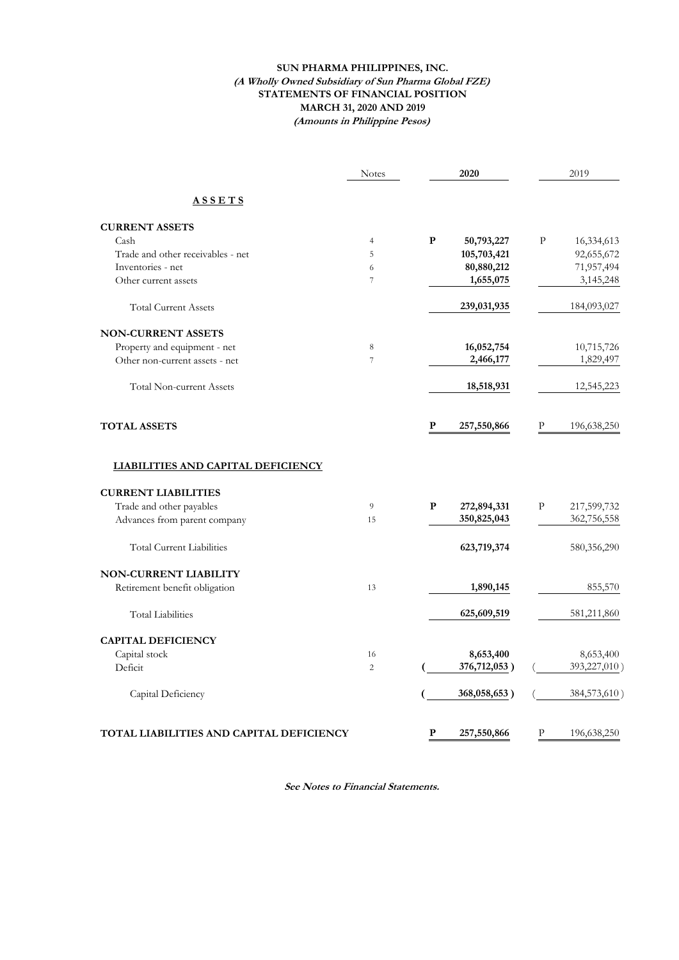#### **SUN PHARMA PHILIPPINES, INC. (A Wholly Owned Subsidiary of Sun Pharma Global FZE) STATEMENTS OF FINANCIAL POSITION MARCH 31, 2020 AND 2019 (Amounts in Philippine Pesos)**

|                                           | <b>Notes</b>   |           | 2020         |   | 2019         |
|-------------------------------------------|----------------|-----------|--------------|---|--------------|
| <b>ASSETS</b>                             |                |           |              |   |              |
| <b>CURRENT ASSETS</b>                     |                |           |              |   |              |
| Cash                                      | $\overline{4}$ | ${\bf P}$ | 50,793,227   | P | 16,334,613   |
| Trade and other receivables - net         | 5              |           | 105,703,421  |   | 92,655,672   |
| Inventories - net                         | 6              |           | 80,880,212   |   | 71,957,494   |
| Other current assets                      | 7              |           | 1,655,075    |   | 3,145,248    |
| <b>Total Current Assets</b>               |                |           | 239,031,935  |   | 184,093,027  |
| <b>NON-CURRENT ASSETS</b>                 |                |           |              |   |              |
| Property and equipment - net              | $\,8\,$        |           | 16,052,754   |   | 10,715,726   |
| Other non-current assets - net            | 7              |           | 2,466,177    |   | 1,829,497    |
| <b>Total Non-current Assets</b>           |                |           | 18,518,931   |   | 12,545,223   |
| <b>TOTAL ASSETS</b>                       |                | P         | 257,550,866  | P | 196,638,250  |
| <b>LIABILITIES AND CAPITAL DEFICIENCY</b> |                |           |              |   |              |
| <b>CURRENT LIABILITIES</b>                |                |           |              |   |              |
| Trade and other payables                  | 9              | P         | 272,894,331  | P | 217,599,732  |
| Advances from parent company              | 15             |           | 350,825,043  |   | 362,756,558  |
| <b>Total Current Liabilities</b>          |                |           | 623,719,374  |   | 580,356,290  |
| <b>NON-CURRENT LIABILITY</b>              |                |           |              |   |              |
| Retirement benefit obligation             | 13             |           | 1,890,145    |   | 855,570      |
| <b>Total Liabilities</b>                  |                |           | 625,609,519  |   | 581,211,860  |
| <b>CAPITAL DEFICIENCY</b>                 |                |           |              |   |              |
| Capital stock                             | 16             |           | 8,653,400    |   | 8,653,400    |
| Deficit                                   | $\overline{c}$ |           | 376,712,053) |   | 393,227,010) |
| Capital Deficiency                        |                |           | 368,058,653) |   | 384,573,610  |
| TOTAL LIABILITIES AND CAPITAL DEFICIENCY  |                | P         | 257,550,866  | P | 196,638,250  |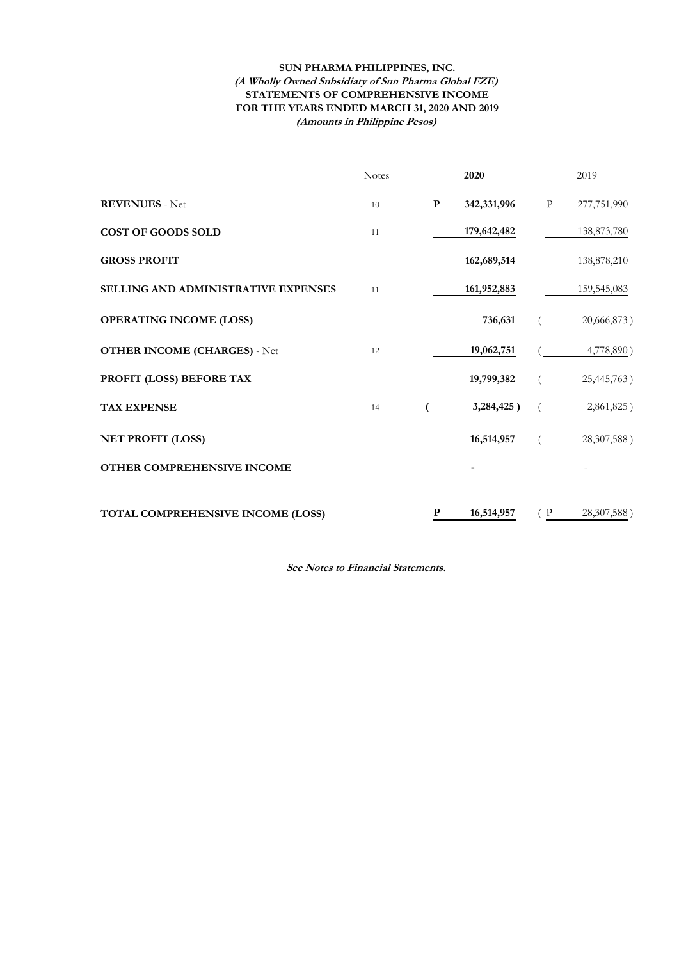#### **(Amounts in Philippine Pesos) SUN PHARMA PHILIPPINES, INC. (A Wholly Owned Subsidiary of Sun Pharma Global FZE) STATEMENTS OF COMPREHENSIVE INCOME FOR THE YEARS ENDED MARCH 31, 2020 AND 2019**

|                                     | <b>Notes</b> |           | 2020        |         | 2019        |
|-------------------------------------|--------------|-----------|-------------|---------|-------------|
| <b>REVENUES</b> - Net               | 10           | ${\bf P}$ | 342,331,996 | $\rm P$ | 277,751,990 |
| <b>COST OF GOODS SOLD</b>           | 11           |           | 179,642,482 |         | 138,873,780 |
| <b>GROSS PROFIT</b>                 |              |           | 162,689,514 |         | 138,878,210 |
| SELLING AND ADMINISTRATIVE EXPENSES | 11           |           | 161,952,883 |         | 159,545,083 |
| <b>OPERATING INCOME (LOSS)</b>      |              |           | 736,631     |         | 20,666,873) |
| <b>OTHER INCOME (CHARGES) - Net</b> | 12           |           | 19,062,751  |         | 4,778,890)  |
| PROFIT (LOSS) BEFORE TAX            |              |           | 19,799,382  |         | 25,445,763) |
| <b>TAX EXPENSE</b>                  | 14           |           | 3,284,425)  |         | 2,861,825)  |
| <b>NET PROFIT (LOSS)</b>            |              |           | 16,514,957  |         | 28,307,588) |
| OTHER COMPREHENSIVE INCOME          |              |           |             |         |             |
| TOTAL COMPREHENSIVE INCOME (LOSS)   |              | P         | 16,514,957  | (P)     | 28,307,588) |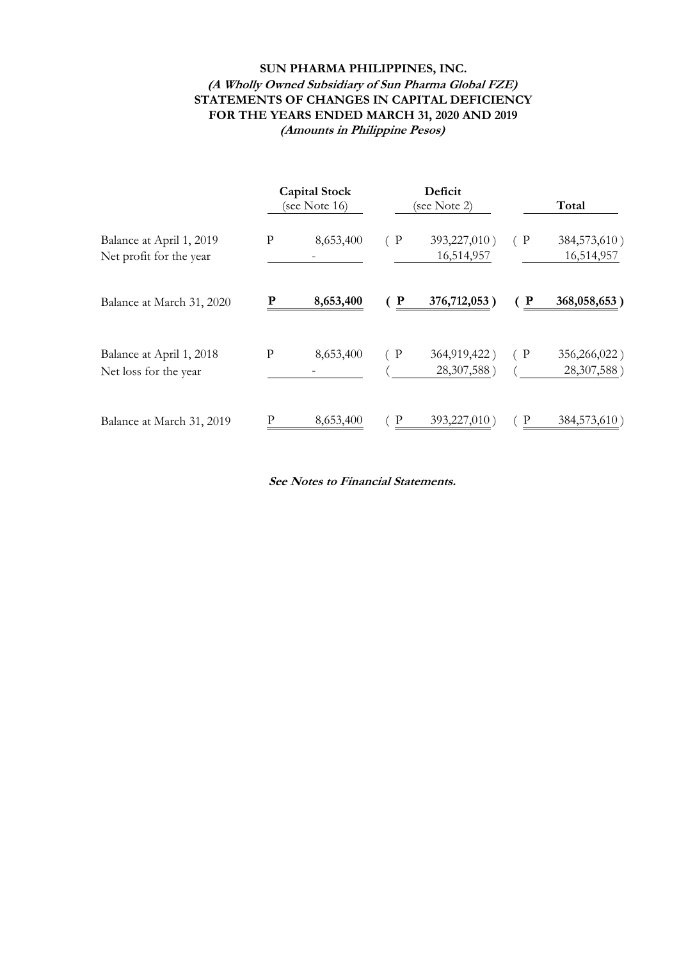# **SUN PHARMA PHILIPPINES, INC. (A Wholly Owned Subsidiary of Sun Pharma Global FZE) STATEMENTS OF CHANGES IN CAPITAL DEFICIENCY FOR THE YEARS ENDED MARCH 31, 2020 AND 2019 (Amounts in Philippine Pesos)**

|                                                     | <b>Capital Stock</b><br>(see Note 16) |           | Deficit<br>(see Note 2) |                             |     |                             |  |  |  | Total |
|-----------------------------------------------------|---------------------------------------|-----------|-------------------------|-----------------------------|-----|-----------------------------|--|--|--|-------|
| Balance at April 1, 2019<br>Net profit for the year | ${\bf P}$                             | 8,653,400 | (P)                     | 393,227,010)<br>16,514,957  | (P) | 384,573,610)<br>16,514,957  |  |  |  |       |
| Balance at March 31, 2020                           |                                       | 8,653,400 | (P)                     | 376,712,053                 | P   | 368,058,653)                |  |  |  |       |
| Balance at April 1, 2018<br>Net loss for the year   | P                                     | 8,653,400 | (P)                     | 364,919,422)<br>28,307,588) | (P) | 356,266,022)<br>28,307,588) |  |  |  |       |
| Balance at March 31, 2019                           | P                                     | 8,653,400 | $\in \mathbf{P}$        | 393,227,010                 | P   | 384,573,610)                |  |  |  |       |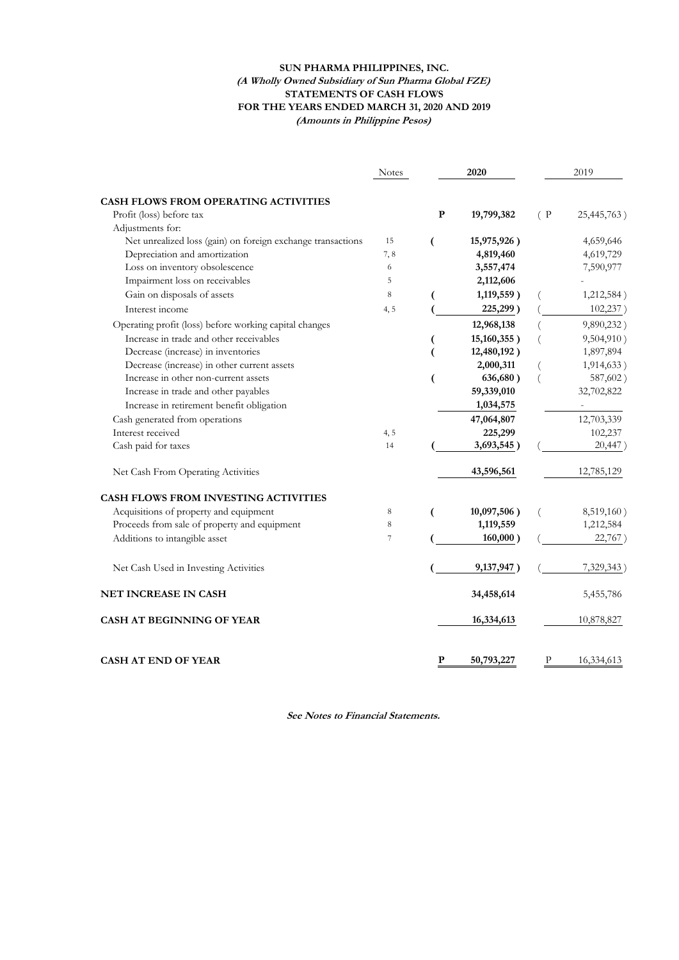#### **SUN PHARMA PHILIPPINES, INC. (A Wholly Owned Subsidiary of Sun Pharma Global FZE) STATEMENTS OF CASH FLOWS FOR THE YEARS ENDED MARCH 31, 2020 AND 2019 (Amounts in Philippine Pesos)**

|                                                             | <b>Notes</b> |             | 2020           |     | 2019        |
|-------------------------------------------------------------|--------------|-------------|----------------|-----|-------------|
| CASH FLOWS FROM OPERATING ACTIVITIES                        |              |             |                |     |             |
| Profit (loss) before tax                                    |              | $\mathbf P$ | 19,799,382     | (P) | 25,445,763) |
| Adjustments for:                                            |              |             |                |     |             |
| Net unrealized loss (gain) on foreign exchange transactions | 15           | (           | 15,975,926)    |     | 4,659,646   |
| Depreciation and amortization                               | 7,8          |             | 4,819,460      |     | 4,619,729   |
| Loss on inventory obsolescence                              | 6            |             | 3,557,474      |     | 7,590,977   |
| Impairment loss on receivables                              | 5            |             | 2,112,606      |     |             |
| Gain on disposals of assets                                 | 8            |             | 1,119,559)     |     | 1,212,584)  |
| Interest income                                             | 4, 5         |             | 225,299)       |     | 102,237)    |
| Operating profit (loss) before working capital changes      |              |             | 12,968,138     |     | 9,890,232)  |
| Increase in trade and other receivables                     |              |             | $15,160,355$ ) |     | 9,504,910)  |
| Decrease (increase) in inventories                          |              |             | 12,480,192)    |     | 1,897,894   |
| Decrease (increase) in other current assets                 |              |             | 2,000,311      |     | 1,914,633)  |
| Increase in other non-current assets                        |              | (           | 636,680)       |     | 587,602)    |
| Increase in trade and other payables                        |              |             | 59,339,010     |     | 32,702,822  |
| Increase in retirement benefit obligation                   |              |             | 1,034,575      |     |             |
| Cash generated from operations                              |              |             | 47,064,807     |     | 12,703,339  |
| Interest received                                           | 4, 5         |             | 225,299        |     | 102,237     |
| Cash paid for taxes                                         | 14           |             | 3,693,545)     |     | 20,447)     |
| Net Cash From Operating Activities                          |              |             | 43,596,561     |     | 12,785,129  |
| <b>CASH FLOWS FROM INVESTING ACTIVITIES</b>                 |              |             |                |     |             |
| Acquisitions of property and equipment                      | 8            | (           | $10,097,506$ ) |     | 8,519,160)  |
| Proceeds from sale of property and equipment                | 8            |             | 1,119,559      |     | 1,212,584   |
| Additions to intangible asset                               | 7            |             | 160,000)       |     | 22,767)     |
| Net Cash Used in Investing Activities                       |              |             | 9,137,947)     |     | 7,329,343)  |
| <b>NET INCREASE IN CASH</b>                                 |              |             | 34,458,614     |     | 5,455,786   |
| <b>CASH AT BEGINNING OF YEAR</b>                            |              |             | 16,334,613     |     | 10,878,827  |
| <b>CASH AT END OF YEAR</b>                                  |              | P           | 50,793,227     | Р   | 16,334,613  |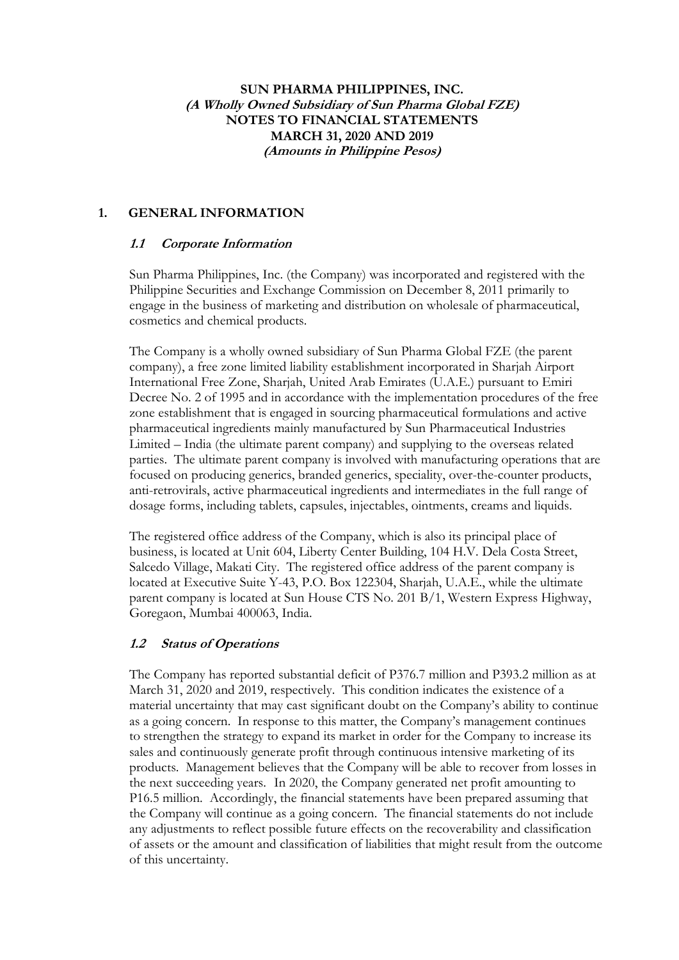# **SUN PHARMA PHILIPPINES, INC. (A Wholly Owned Subsidiary of Sun Pharma Global FZE) NOTES TO FINANCIAL STATEMENTS MARCH 31, 2020 AND 2019 (Amounts in Philippine Pesos)**

# **1. GENERAL INFORMATION**

# **1.1 Corporate Information**

Sun Pharma Philippines, Inc. (the Company) was incorporated and registered with the Philippine Securities and Exchange Commission on December 8, 2011 primarily to engage in the business of marketing and distribution on wholesale of pharmaceutical, cosmetics and chemical products.

The Company is a wholly owned subsidiary of Sun Pharma Global FZE (the parent company), a free zone limited liability establishment incorporated in Sharjah Airport International Free Zone, Sharjah, United Arab Emirates (U.A.E.) pursuant to Emiri Decree No. 2 of 1995 and in accordance with the implementation procedures of the free zone establishment that is engaged in sourcing pharmaceutical formulations and active pharmaceutical ingredients mainly manufactured by Sun Pharmaceutical Industries Limited – India (the ultimate parent company) and supplying to the overseas related parties. The ultimate parent company is involved with manufacturing operations that are focused on producing generics, branded generics, speciality, over-the-counter products, anti-retrovirals, active pharmaceutical ingredients and intermediates in the full range of dosage forms, including tablets, capsules, injectables, ointments, creams and liquids.

The registered office address of the Company, which is also its principal place of business, is located at Unit 604, Liberty Center Building, 104 H.V. Dela Costa Street, Salcedo Village, Makati City. The registered office address of the parent company is located at Executive Suite Y-43, P.O. Box 122304, Sharjah, U.A.E., while the ultimate parent company is located at Sun House CTS No. 201 B/1, Western Express Highway, Goregaon, Mumbai 400063, India.

# **1.2 Status of Operations**

The Company has reported substantial deficit of P376.7 million and P393.2 million as at March 31, 2020 and 2019, respectively. This condition indicates the existence of a material uncertainty that may cast significant doubt on the Company's ability to continue as a going concern. In response to this matter, the Company's management continues to strengthen the strategy to expand its market in order for the Company to increase its sales and continuously generate profit through continuous intensive marketing of its products. Management believes that the Company will be able to recover from losses in the next succeeding years. In 2020, the Company generated net profit amounting to P16.5 million. Accordingly, the financial statements have been prepared assuming that the Company will continue as a going concern. The financial statements do not include any adjustments to reflect possible future effects on the recoverability and classification of assets or the amount and classification of liabilities that might result from the outcome of this uncertainty.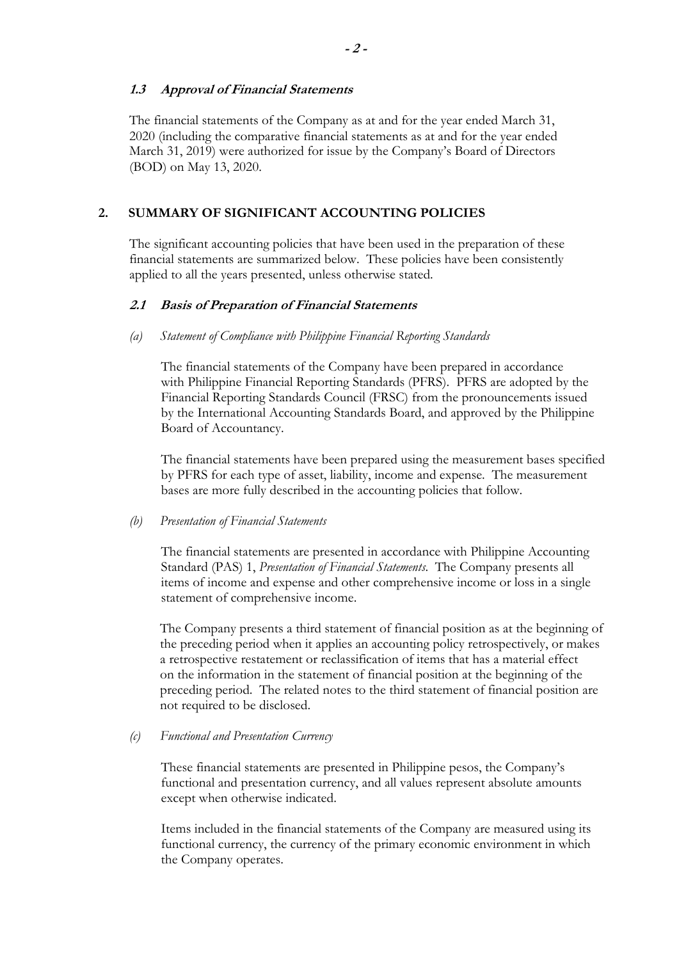## **1.3 Approval of Financial Statements**

The financial statements of the Company as at and for the year ended March 31, 2020 (including the comparative financial statements as at and for the year ended March 31, 2019) were authorized for issue by the Company's Board of Directors (BOD) on May 13, 2020.

# **2. SUMMARY OF SIGNIFICANT ACCOUNTING POLICIES**

The significant accounting policies that have been used in the preparation of these financial statements are summarized below. These policies have been consistently applied to all the years presented, unless otherwise stated.

### **2.1 Basis of Preparation of Financial Statements**

*(a) Statement of Compliance with Philippine Financial Reporting Standards* 

The financial statements of the Company have been prepared in accordance with Philippine Financial Reporting Standards (PFRS). PFRS are adopted by the Financial Reporting Standards Council (FRSC) from the pronouncements issued by the International Accounting Standards Board, and approved by the Philippine Board of Accountancy.

The financial statements have been prepared using the measurement bases specified by PFRS for each type of asset, liability, income and expense. The measurement bases are more fully described in the accounting policies that follow.

### *(b) Presentation of Financial Statements*

The financial statements are presented in accordance with Philippine Accounting Standard (PAS) 1, *Presentation of Financial Statements*. The Company presents all items of income and expense and other comprehensive income or loss in a single statement of comprehensive income.

The Company presents a third statement of financial position as at the beginning of the preceding period when it applies an accounting policy retrospectively, or makes a retrospective restatement or reclassification of items that has a material effect on the information in the statement of financial position at the beginning of the preceding period. The related notes to the third statement of financial position are not required to be disclosed.

### *(c) Functional and Presentation Currency*

These financial statements are presented in Philippine pesos, the Company's functional and presentation currency, and all values represent absolute amounts except when otherwise indicated.

Items included in the financial statements of the Company are measured using its functional currency, the currency of the primary economic environment in which the Company operates.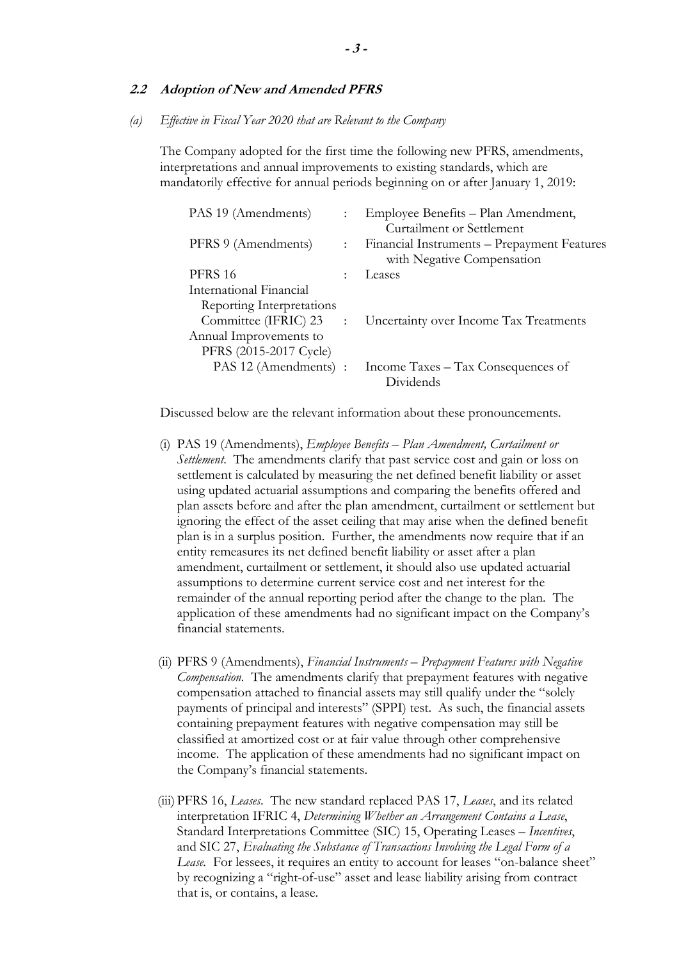#### **2.2 Adoption of New and Amended PFRS**

*(a) Effective in Fiscal Year 2020 that are Relevant to the Company* 

The Company adopted for the first time the following new PFRS, amendments, interpretations and annual improvements to existing standards, which are mandatorily effective for annual periods beginning on or after January 1, 2019:

| PAS 19 (Amendments)       |               | Employee Benefits – Plan Amendment,<br>Curtailment or Settlement          |
|---------------------------|---------------|---------------------------------------------------------------------------|
| PFRS 9 (Amendments)       | $\mathcal{L}$ | Financial Instruments – Prepayment Features<br>with Negative Compensation |
| <b>PFRS 16</b>            |               | Leases                                                                    |
| International Financial   |               |                                                                           |
| Reporting Interpretations |               |                                                                           |
| Committee (IFRIC) 23      | $\sim 10^6$   | Uncertainty over Income Tax Treatments                                    |
| Annual Improvements to    |               |                                                                           |
| PFRS (2015-2017 Cycle)    |               |                                                                           |
| PAS 12 (Amendments) :     |               | Income Taxes – Tax Consequences of<br>Dividends                           |
|                           |               |                                                                           |

Discussed below are the relevant information about these pronouncements.

- (i) PAS 19 (Amendments), *Employee Benefits Plan Amendment, Curtailment or Settlement*. The amendments clarify that past service cost and gain or loss on settlement is calculated by measuring the net defined benefit liability or asset using updated actuarial assumptions and comparing the benefits offered and plan assets before and after the plan amendment, curtailment or settlement but ignoring the effect of the asset ceiling that may arise when the defined benefit plan is in a surplus position. Further, the amendments now require that if an entity remeasures its net defined benefit liability or asset after a plan amendment, curtailment or settlement, it should also use updated actuarial assumptions to determine current service cost and net interest for the remainder of the annual reporting period after the change to the plan. The application of these amendments had no significant impact on the Company's financial statements.
- (ii) PFRS 9 (Amendments), *Financial Instruments Prepayment Features with Negative Compensation.* The amendments clarify that prepayment features with negative compensation attached to financial assets may still qualify under the "solely payments of principal and interests" (SPPI) test. As such, the financial assets containing prepayment features with negative compensation may still be classified at amortized cost or at fair value through other comprehensive income. The application of these amendments had no significant impact on the Company's financial statements.
- (iii) PFRS 16, *Leases*. The new standard replaced PAS 17, *Leases*, and its related interpretation IFRIC 4, *Determining Whether an Arrangement Contains a Lease*, Standard Interpretations Committee (SIC) 15, Operating Leases – *Incentives*, and SIC 27, *Evaluating the Substance of Transactions Involving the Legal Form of a*  Lease. For lessees, it requires an entity to account for leases "on-balance sheet" by recognizing a "right-of-use" asset and lease liability arising from contract that is, or contains, a lease.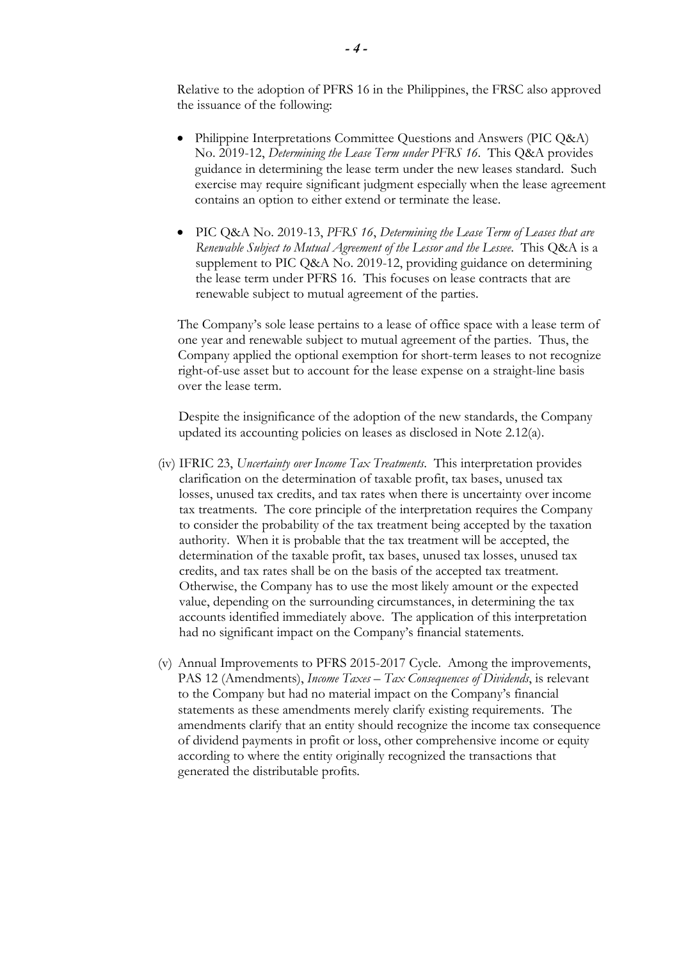Relative to the adoption of PFRS 16 in the Philippines, the FRSC also approved the issuance of the following:

- Philippine Interpretations Committee Questions and Answers (PIC Q&A) No. 2019-12, *Determining the Lease Term under PFRS 16*. This Q&A provides guidance in determining the lease term under the new leases standard. Such exercise may require significant judgment especially when the lease agreement contains an option to either extend or terminate the lease.
- PIC Q&A No. 2019-13, *PFRS 16*, *Determining the Lease Term of Leases that are Renewable Subject to Mutual Agreement of the Lessor and the Lessee*. This Q&A is a supplement to PIC Q&A No. 2019-12, providing guidance on determining the lease term under PFRS 16. This focuses on lease contracts that are renewable subject to mutual agreement of the parties.

The Company's sole lease pertains to a lease of office space with a lease term of one year and renewable subject to mutual agreement of the parties. Thus, the Company applied the optional exemption for short-term leases to not recognize right-of-use asset but to account for the lease expense on a straight-line basis over the lease term.

Despite the insignificance of the adoption of the new standards, the Company updated its accounting policies on leases as disclosed in Note 2.12(a).

- (iv) IFRIC 23, *Uncertainty over Income Tax Treatments*. This interpretation provides clarification on the determination of taxable profit, tax bases, unused tax losses, unused tax credits, and tax rates when there is uncertainty over income tax treatments. The core principle of the interpretation requires the Company to consider the probability of the tax treatment being accepted by the taxation authority. When it is probable that the tax treatment will be accepted, the determination of the taxable profit, tax bases, unused tax losses, unused tax credits, and tax rates shall be on the basis of the accepted tax treatment. Otherwise, the Company has to use the most likely amount or the expected value, depending on the surrounding circumstances, in determining the tax accounts identified immediately above. The application of this interpretation had no significant impact on the Company's financial statements.
- (v) Annual Improvements to PFRS 2015-2017 Cycle. Among the improvements, PAS 12 (Amendments), *Income Taxes – Tax Consequences of Dividends*, is relevant to the Company but had no material impact on the Company's financial statements as these amendments merely clarify existing requirements. The amendments clarify that an entity should recognize the income tax consequence of dividend payments in profit or loss, other comprehensive income or equity according to where the entity originally recognized the transactions that generated the distributable profits.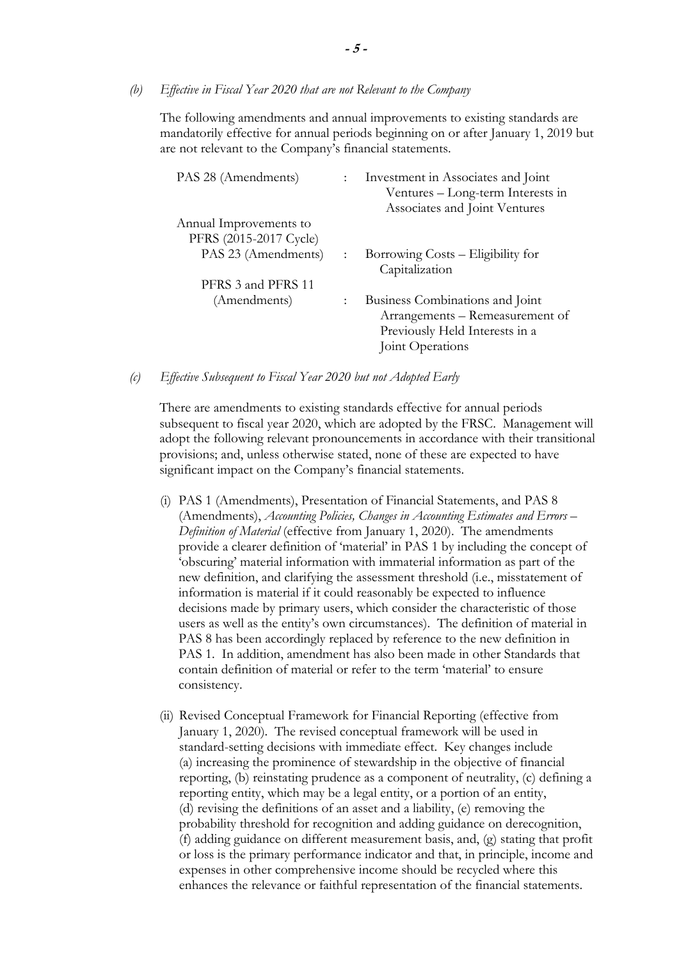*(b) Effective in Fiscal Year 2020 that are not Relevant to the Company* 

The following amendments and annual improvements to existing standards are mandatorily effective for annual periods beginning on or after January 1, 2019 but are not relevant to the Company's financial statements.

| PAS 28 (Amendments)    | $\mathbb{R}^{\mathbb{Z}}$ | Investment in Associates and Joint<br>Ventures – Long-term Interests in<br>Associates and Joint Ventures                 |
|------------------------|---------------------------|--------------------------------------------------------------------------------------------------------------------------|
| Annual Improvements to |                           |                                                                                                                          |
| PFRS (2015-2017 Cycle) |                           |                                                                                                                          |
| PAS 23 (Amendments)    | $\mathbb{R}^{\mathbb{Z}}$ | Borrowing Costs – Eligibility for<br>Capitalization                                                                      |
| PFRS 3 and PFRS 11     |                           |                                                                                                                          |
| (Amendments)           |                           | Business Combinations and Joint<br>Arrangements – Remeasurement of<br>Previously Held Interests in a<br>Joint Operations |

*(c) Effective Subsequent to Fiscal Year 2020 but not Adopted Early* 

There are amendments to existing standards effective for annual periods subsequent to fiscal year 2020, which are adopted by the FRSC. Management will adopt the following relevant pronouncements in accordance with their transitional provisions; and, unless otherwise stated, none of these are expected to have significant impact on the Company's financial statements.

- (i) PAS 1 (Amendments), Presentation of Financial Statements, and PAS 8 (Amendments), *Accounting Policies, Changes in Accounting Estimates and Errors – Definition of Material* (effective from January 1, 2020). The amendments provide a clearer definition of 'material' in PAS 1 by including the concept of 'obscuring' material information with immaterial information as part of the new definition, and clarifying the assessment threshold (i.e., misstatement of information is material if it could reasonably be expected to influence decisions made by primary users, which consider the characteristic of those users as well as the entity's own circumstances). The definition of material in PAS 8 has been accordingly replaced by reference to the new definition in PAS 1. In addition, amendment has also been made in other Standards that contain definition of material or refer to the term 'material' to ensure consistency.
- (ii) Revised Conceptual Framework for Financial Reporting (effective from January 1, 2020). The revised conceptual framework will be used in standard-setting decisions with immediate effect. Key changes include (a) increasing the prominence of stewardship in the objective of financial reporting, (b) reinstating prudence as a component of neutrality, (c) defining a reporting entity, which may be a legal entity, or a portion of an entity, (d) revising the definitions of an asset and a liability, (e) removing the probability threshold for recognition and adding guidance on derecognition, (f) adding guidance on different measurement basis, and, (g) stating that profit or loss is the primary performance indicator and that, in principle, income and expenses in other comprehensive income should be recycled where this enhances the relevance or faithful representation of the financial statements.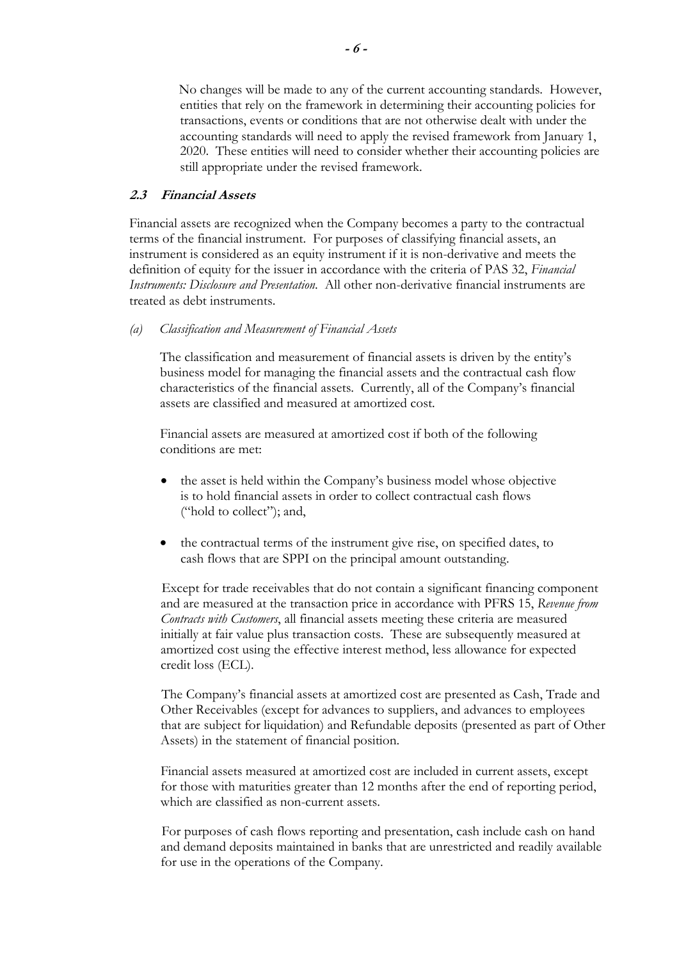No changes will be made to any of the current accounting standards. However, entities that rely on the framework in determining their accounting policies for transactions, events or conditions that are not otherwise dealt with under the accounting standards will need to apply the revised framework from January 1, 2020. These entities will need to consider whether their accounting policies are still appropriate under the revised framework.

### **2.3 Financial Assets**

Financial assets are recognized when the Company becomes a party to the contractual terms of the financial instrument. For purposes of classifying financial assets, an instrument is considered as an equity instrument if it is non-derivative and meets the definition of equity for the issuer in accordance with the criteria of PAS 32, *Financial Instruments: Disclosure and Presentation*. All other non-derivative financial instruments are treated as debt instruments.

### *(a) Classification and Measurement of Financial Assets*

The classification and measurement of financial assets is driven by the entity's business model for managing the financial assets and the contractual cash flow characteristics of the financial assets. Currently, all of the Company's financial assets are classified and measured at amortized cost.

Financial assets are measured at amortized cost if both of the following conditions are met:

- the asset is held within the Company's business model whose objective is to hold financial assets in order to collect contractual cash flows ("hold to collect"); and,
- the contractual terms of the instrument give rise, on specified dates, to cash flows that are SPPI on the principal amount outstanding.

Except for trade receivables that do not contain a significant financing component and are measured at the transaction price in accordance with PFRS 15, *Revenue from Contracts with Customers*, all financial assets meeting these criteria are measured initially at fair value plus transaction costs. These are subsequently measured at amortized cost using the effective interest method, less allowance for expected credit loss (ECL).

The Company's financial assets at amortized cost are presented as Cash, Trade and Other Receivables (except for advances to suppliers, and advances to employees that are subject for liquidation) and Refundable deposits (presented as part of Other Assets) in the statement of financial position.

Financial assets measured at amortized cost are included in current assets, except for those with maturities greater than 12 months after the end of reporting period, which are classified as non-current assets.

For purposes of cash flows reporting and presentation, cash include cash on hand and demand deposits maintained in banks that are unrestricted and readily available for use in the operations of the Company.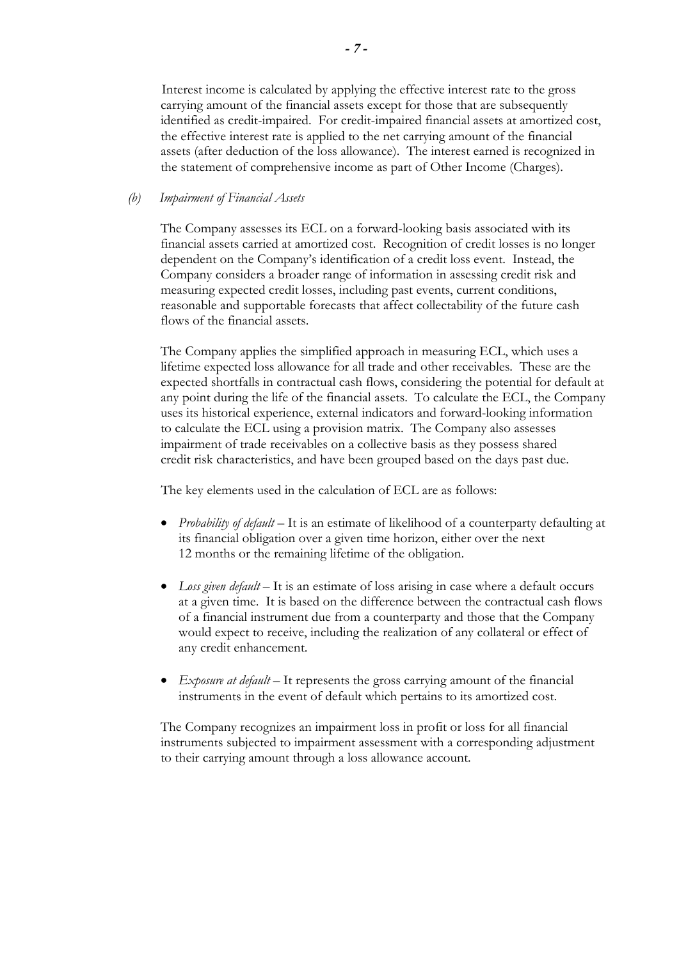Interest income is calculated by applying the effective interest rate to the gross carrying amount of the financial assets except for those that are subsequently identified as credit-impaired. For credit-impaired financial assets at amortized cost, the effective interest rate is applied to the net carrying amount of the financial assets (after deduction of the loss allowance). The interest earned is recognized in the statement of comprehensive income as part of Other Income (Charges).

### *(b) Impairment of Financial Assets*

The Company assesses its ECL on a forward-looking basis associated with its financial assets carried at amortized cost. Recognition of credit losses is no longer dependent on the Company's identification of a credit loss event. Instead, the Company considers a broader range of information in assessing credit risk and measuring expected credit losses, including past events, current conditions, reasonable and supportable forecasts that affect collectability of the future cash flows of the financial assets.

The Company applies the simplified approach in measuring ECL, which uses a lifetime expected loss allowance for all trade and other receivables. These are the expected shortfalls in contractual cash flows, considering the potential for default at any point during the life of the financial assets. To calculate the ECL, the Company uses its historical experience, external indicators and forward-looking information to calculate the ECL using a provision matrix. The Company also assesses impairment of trade receivables on a collective basis as they possess shared credit risk characteristics, and have been grouped based on the days past due.

The key elements used in the calculation of ECL are as follows:

- *Probability of default* It is an estimate of likelihood of a counterparty defaulting at its financial obligation over a given time horizon, either over the next 12 months or the remaining lifetime of the obligation.
- *Loss given default* It is an estimate of loss arising in case where a default occurs at a given time. It is based on the difference between the contractual cash flows of a financial instrument due from a counterparty and those that the Company would expect to receive, including the realization of any collateral or effect of any credit enhancement.
- *Exposure at default* It represents the gross carrying amount of the financial instruments in the event of default which pertains to its amortized cost.

The Company recognizes an impairment loss in profit or loss for all financial instruments subjected to impairment assessment with a corresponding adjustment to their carrying amount through a loss allowance account.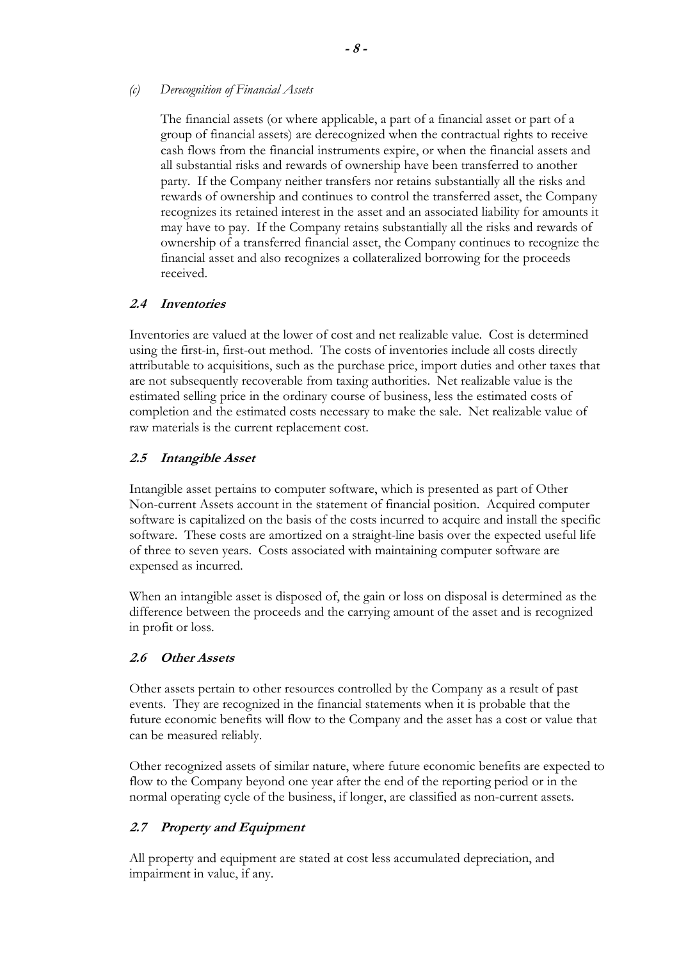*(c) Derecognition of Financial Assets*

The financial assets (or where applicable, a part of a financial asset or part of a group of financial assets) are derecognized when the contractual rights to receive cash flows from the financial instruments expire, or when the financial assets and all substantial risks and rewards of ownership have been transferred to another party. If the Company neither transfers nor retains substantially all the risks and rewards of ownership and continues to control the transferred asset, the Company recognizes its retained interest in the asset and an associated liability for amounts it may have to pay. If the Company retains substantially all the risks and rewards of ownership of a transferred financial asset, the Company continues to recognize the financial asset and also recognizes a collateralized borrowing for the proceeds received.

# **2.4 Inventories**

Inventories are valued at the lower of cost and net realizable value. Cost is determined using the first-in, first-out method. The costs of inventories include all costs directly attributable to acquisitions, such as the purchase price, import duties and other taxes that are not subsequently recoverable from taxing authorities. Net realizable value is the estimated selling price in the ordinary course of business, less the estimated costs of completion and the estimated costs necessary to make the sale. Net realizable value of raw materials is the current replacement cost.

# **2.5 Intangible Asset**

Intangible asset pertains to computer software, which is presented as part of Other Non-current Assets account in the statement of financial position. Acquired computer software is capitalized on the basis of the costs incurred to acquire and install the specific software. These costs are amortized on a straight-line basis over the expected useful life of three to seven years. Costs associated with maintaining computer software are expensed as incurred.

When an intangible asset is disposed of, the gain or loss on disposal is determined as the difference between the proceeds and the carrying amount of the asset and is recognized in profit or loss.

# **2.6 Other Assets**

Other assets pertain to other resources controlled by the Company as a result of past events. They are recognized in the financial statements when it is probable that the future economic benefits will flow to the Company and the asset has a cost or value that can be measured reliably.

Other recognized assets of similar nature, where future economic benefits are expected to flow to the Company beyond one year after the end of the reporting period or in the normal operating cycle of the business, if longer, are classified as non-current assets.

# **2.7 Property and Equipment**

All property and equipment are stated at cost less accumulated depreciation, and impairment in value, if any.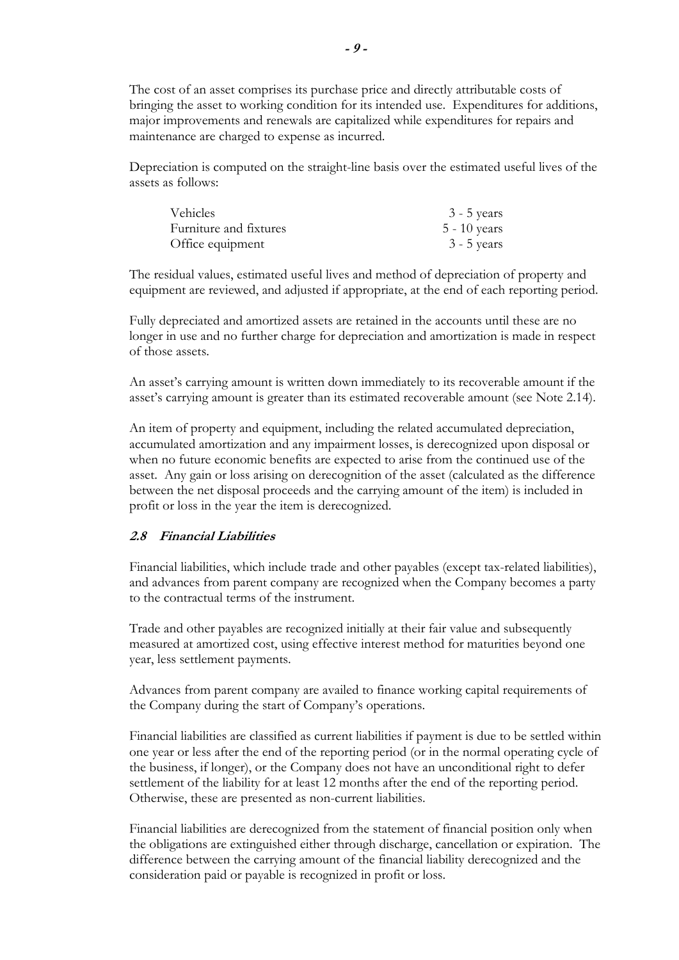The cost of an asset comprises its purchase price and directly attributable costs of bringing the asset to working condition for its intended use. Expenditures for additions, major improvements and renewals are capitalized while expenditures for repairs and maintenance are charged to expense as incurred.

Depreciation is computed on the straight-line basis over the estimated useful lives of the assets as follows:

| <i>Vehicles</i>        | $3 - 5$ years  |
|------------------------|----------------|
| Furniture and fixtures | $5 - 10$ years |
| Office equipment       | $3 - 5$ years  |

The residual values, estimated useful lives and method of depreciation of property and equipment are reviewed, and adjusted if appropriate, at the end of each reporting period.

Fully depreciated and amortized assets are retained in the accounts until these are no longer in use and no further charge for depreciation and amortization is made in respect of those assets.

An asset's carrying amount is written down immediately to its recoverable amount if the asset's carrying amount is greater than its estimated recoverable amount (see Note 2.14).

An item of property and equipment, including the related accumulated depreciation, accumulated amortization and any impairment losses, is derecognized upon disposal or when no future economic benefits are expected to arise from the continued use of the asset. Any gain or loss arising on derecognition of the asset (calculated as the difference between the net disposal proceeds and the carrying amount of the item) is included in profit or loss in the year the item is derecognized.

### **2.8 Financial Liabilities**

Financial liabilities, which include trade and other payables (except tax-related liabilities), and advances from parent company are recognized when the Company becomes a party to the contractual terms of the instrument.

Trade and other payables are recognized initially at their fair value and subsequently measured at amortized cost, using effective interest method for maturities beyond one year, less settlement payments.

Advances from parent company are availed to finance working capital requirements of the Company during the start of Company's operations.

Financial liabilities are classified as current liabilities if payment is due to be settled within one year or less after the end of the reporting period (or in the normal operating cycle of the business, if longer), or the Company does not have an unconditional right to defer settlement of the liability for at least 12 months after the end of the reporting period. Otherwise, these are presented as non-current liabilities.

Financial liabilities are derecognized from the statement of financial position only when the obligations are extinguished either through discharge, cancellation or expiration. The difference between the carrying amount of the financial liability derecognized and the consideration paid or payable is recognized in profit or loss.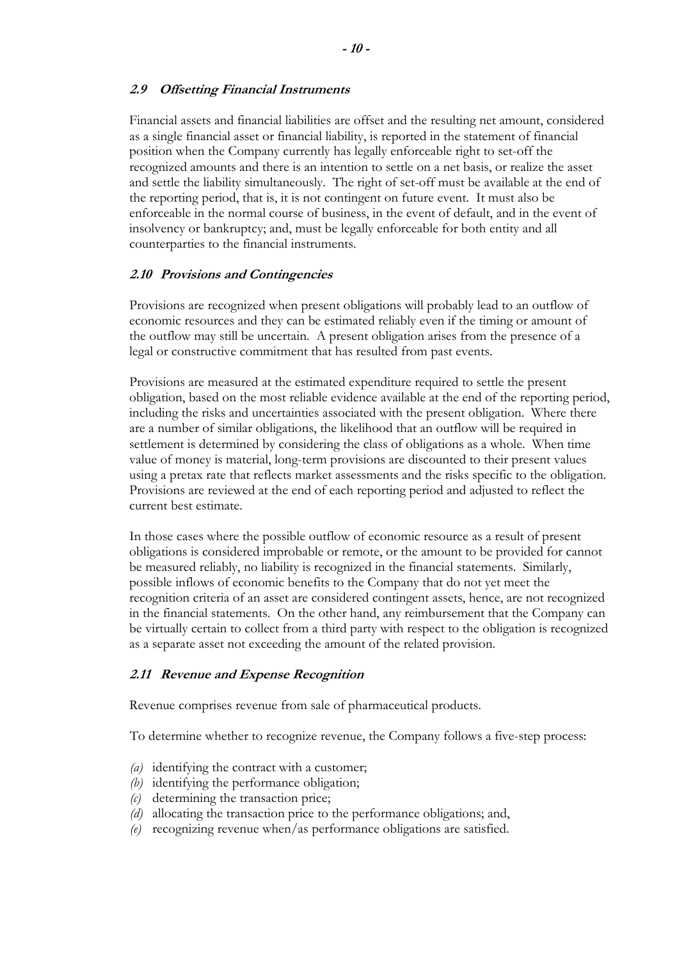### **2.9 Offsetting Financial Instruments**

Financial assets and financial liabilities are offset and the resulting net amount, considered as a single financial asset or financial liability, is reported in the statement of financial position when the Company currently has legally enforceable right to set-off the recognized amounts and there is an intention to settle on a net basis, or realize the asset and settle the liability simultaneously. The right of set-off must be available at the end of the reporting period, that is, it is not contingent on future event. It must also be enforceable in the normal course of business, in the event of default, and in the event of insolvency or bankruptcy; and, must be legally enforceable for both entity and all counterparties to the financial instruments.

### **2.10 Provisions and Contingencies**

Provisions are recognized when present obligations will probably lead to an outflow of economic resources and they can be estimated reliably even if the timing or amount of the outflow may still be uncertain. A present obligation arises from the presence of a legal or constructive commitment that has resulted from past events.

Provisions are measured at the estimated expenditure required to settle the present obligation, based on the most reliable evidence available at the end of the reporting period, including the risks and uncertainties associated with the present obligation. Where there are a number of similar obligations, the likelihood that an outflow will be required in settlement is determined by considering the class of obligations as a whole. When time value of money is material, long-term provisions are discounted to their present values using a pretax rate that reflects market assessments and the risks specific to the obligation. Provisions are reviewed at the end of each reporting period and adjusted to reflect the current best estimate.

In those cases where the possible outflow of economic resource as a result of present obligations is considered improbable or remote, or the amount to be provided for cannot be measured reliably, no liability is recognized in the financial statements. Similarly, possible inflows of economic benefits to the Company that do not yet meet the recognition criteria of an asset are considered contingent assets, hence, are not recognized in the financial statements. On the other hand, any reimbursement that the Company can be virtually certain to collect from a third party with respect to the obligation is recognized as a separate asset not exceeding the amount of the related provision.

# **2.11 Revenue and Expense Recognition**

Revenue comprises revenue from sale of pharmaceutical products.

To determine whether to recognize revenue, the Company follows a five-step process:

- *(a)* identifying the contract with a customer;
- *(b)* identifying the performance obligation;
- *(c)* determining the transaction price;
- *(d)* allocating the transaction price to the performance obligations; and,
- *(e)* recognizing revenue when/as performance obligations are satisfied.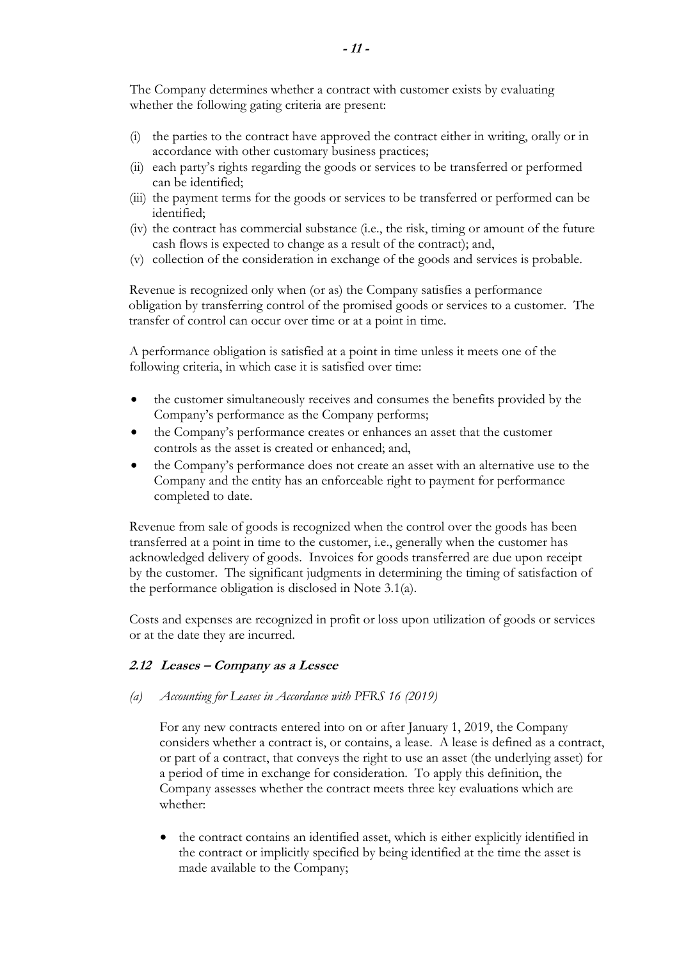The Company determines whether a contract with customer exists by evaluating whether the following gating criteria are present:

- (i) the parties to the contract have approved the contract either in writing, orally or in accordance with other customary business practices;
- (ii) each party's rights regarding the goods or services to be transferred or performed can be identified;
- (iii) the payment terms for the goods or services to be transferred or performed can be identified;
- (iv) the contract has commercial substance (i.e., the risk, timing or amount of the future cash flows is expected to change as a result of the contract); and,
- (v) collection of the consideration in exchange of the goods and services is probable.

Revenue is recognized only when (or as) the Company satisfies a performance obligation by transferring control of the promised goods or services to a customer. The transfer of control can occur over time or at a point in time.

A performance obligation is satisfied at a point in time unless it meets one of the following criteria, in which case it is satisfied over time:

- the customer simultaneously receives and consumes the benefits provided by the Company's performance as the Company performs;
- the Company's performance creates or enhances an asset that the customer controls as the asset is created or enhanced; and,
- the Company's performance does not create an asset with an alternative use to the Company and the entity has an enforceable right to payment for performance completed to date.

Revenue from sale of goods is recognized when the control over the goods has been transferred at a point in time to the customer, i.e., generally when the customer has acknowledged delivery of goods. Invoices for goods transferred are due upon receipt by the customer. The significant judgments in determining the timing of satisfaction of the performance obligation is disclosed in Note 3.1(a).

Costs and expenses are recognized in profit or loss upon utilization of goods or services or at the date they are incurred.

# **2.12 Leases – Company as a Lessee**

### *(a) Accounting for Leases in Accordance with PFRS 16 (2019)*

For any new contracts entered into on or after January 1, 2019, the Company considers whether a contract is, or contains, a lease. A lease is defined as a contract, or part of a contract, that conveys the right to use an asset (the underlying asset) for a period of time in exchange for consideration. To apply this definition, the Company assesses whether the contract meets three key evaluations which are whether:

• the contract contains an identified asset, which is either explicitly identified in the contract or implicitly specified by being identified at the time the asset is made available to the Company;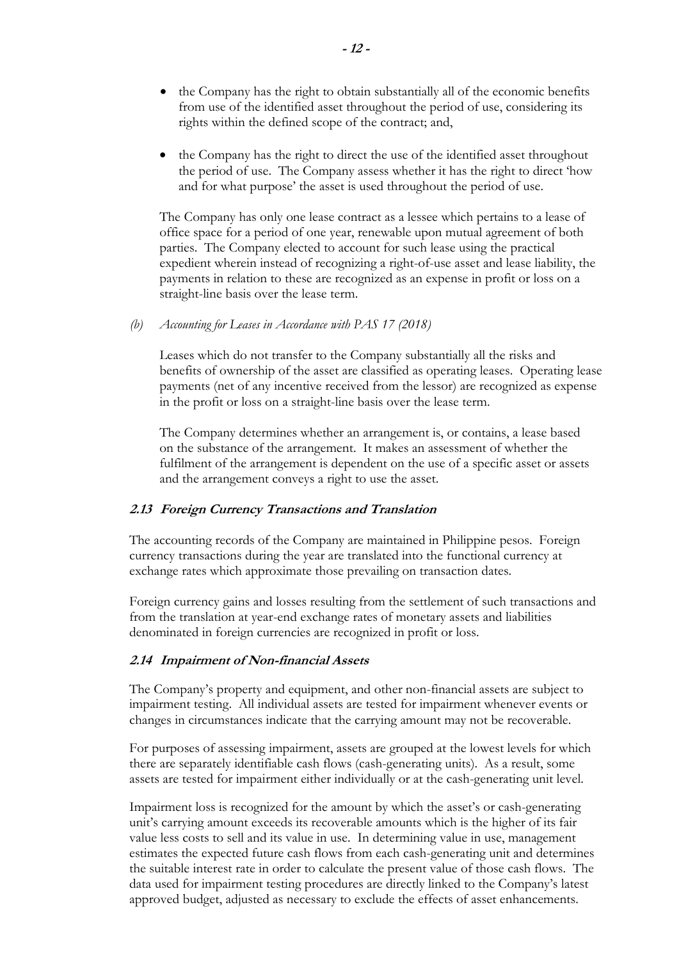- the Company has the right to obtain substantially all of the economic benefits from use of the identified asset throughout the period of use, considering its rights within the defined scope of the contract; and,
- the Company has the right to direct the use of the identified asset throughout the period of use. The Company assess whether it has the right to direct 'how and for what purpose' the asset is used throughout the period of use.

The Company has only one lease contract as a lessee which pertains to a lease of office space for a period of one year, renewable upon mutual agreement of both parties. The Company elected to account for such lease using the practical expedient wherein instead of recognizing a right-of-use asset and lease liability, the payments in relation to these are recognized as an expense in profit or loss on a straight-line basis over the lease term.

*(b) Accounting for Leases in Accordance with PAS 17 (2018)* 

Leases which do not transfer to the Company substantially all the risks and benefits of ownership of the asset are classified as operating leases. Operating lease payments (net of any incentive received from the lessor) are recognized as expense in the profit or loss on a straight-line basis over the lease term.

The Company determines whether an arrangement is, or contains, a lease based on the substance of the arrangement. It makes an assessment of whether the fulfilment of the arrangement is dependent on the use of a specific asset or assets and the arrangement conveys a right to use the asset.

### **2.13 Foreign Currency Transactions and Translation**

The accounting records of the Company are maintained in Philippine pesos. Foreign currency transactions during the year are translated into the functional currency at exchange rates which approximate those prevailing on transaction dates.

Foreign currency gains and losses resulting from the settlement of such transactions and from the translation at year-end exchange rates of monetary assets and liabilities denominated in foreign currencies are recognized in profit or loss.

### **2.14 Impairment of Non-financial Assets**

The Company's property and equipment, and other non-financial assets are subject to impairment testing. All individual assets are tested for impairment whenever events or changes in circumstances indicate that the carrying amount may not be recoverable.

For purposes of assessing impairment, assets are grouped at the lowest levels for which there are separately identifiable cash flows (cash-generating units). As a result, some assets are tested for impairment either individually or at the cash-generating unit level.

Impairment loss is recognized for the amount by which the asset's or cash-generating unit's carrying amount exceeds its recoverable amounts which is the higher of its fair value less costs to sell and its value in use. In determining value in use, management estimates the expected future cash flows from each cash-generating unit and determines the suitable interest rate in order to calculate the present value of those cash flows. The data used for impairment testing procedures are directly linked to the Company's latest approved budget, adjusted as necessary to exclude the effects of asset enhancements.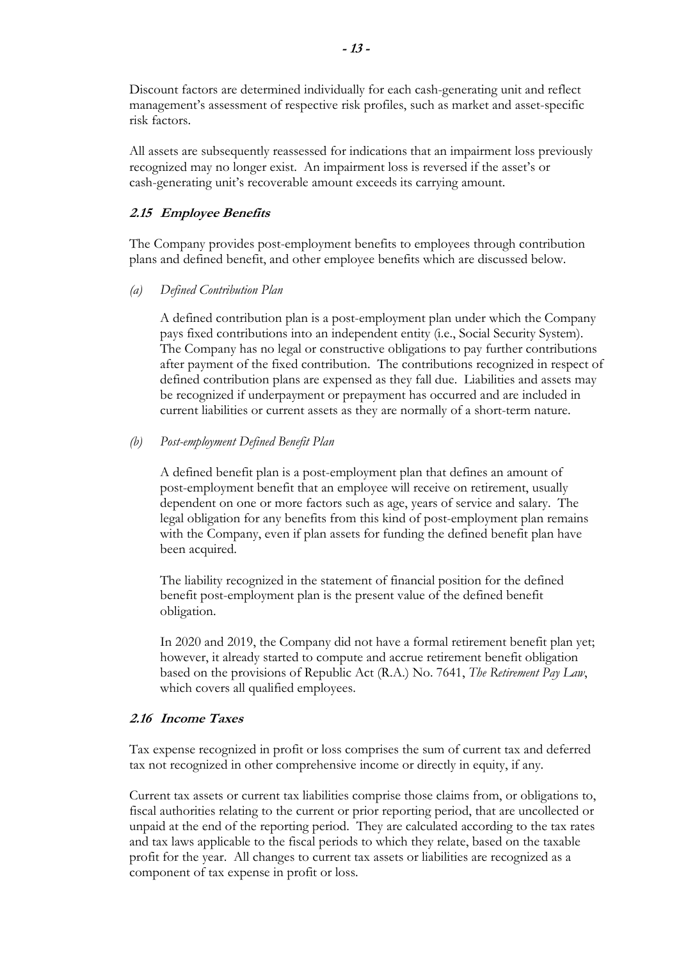Discount factors are determined individually for each cash-generating unit and reflect management's assessment of respective risk profiles, such as market and asset-specific risk factors.

All assets are subsequently reassessed for indications that an impairment loss previously recognized may no longer exist. An impairment loss is reversed if the asset's or cash-generating unit's recoverable amount exceeds its carrying amount.

# **2.15 Employee Benefits**

The Company provides post-employment benefits to employees through contribution plans and defined benefit, and other employee benefits which are discussed below.

*(a) Defined Contribution Plan*

A defined contribution plan is a post-employment plan under which the Company pays fixed contributions into an independent entity (i.e., Social Security System). The Company has no legal or constructive obligations to pay further contributions after payment of the fixed contribution. The contributions recognized in respect of defined contribution plans are expensed as they fall due. Liabilities and assets may be recognized if underpayment or prepayment has occurred and are included in current liabilities or current assets as they are normally of a short-term nature.

# *(b) Post-employment Defined Benefit Plan*

A defined benefit plan is a post-employment plan that defines an amount of post-employment benefit that an employee will receive on retirement, usually dependent on one or more factors such as age, years of service and salary. The legal obligation for any benefits from this kind of post-employment plan remains with the Company, even if plan assets for funding the defined benefit plan have been acquired.

The liability recognized in the statement of financial position for the defined benefit post-employment plan is the present value of the defined benefit obligation.

In 2020 and 2019, the Company did not have a formal retirement benefit plan yet; however, it already started to compute and accrue retirement benefit obligation based on the provisions of Republic Act (R.A.) No. 7641, *The Retirement Pay Law*, which covers all qualified employees.

# **2.16 Income Taxes**

Tax expense recognized in profit or loss comprises the sum of current tax and deferred tax not recognized in other comprehensive income or directly in equity, if any.

Current tax assets or current tax liabilities comprise those claims from, or obligations to, fiscal authorities relating to the current or prior reporting period, that are uncollected or unpaid at the end of the reporting period. They are calculated according to the tax rates and tax laws applicable to the fiscal periods to which they relate, based on the taxable profit for the year. All changes to current tax assets or liabilities are recognized as a component of tax expense in profit or loss.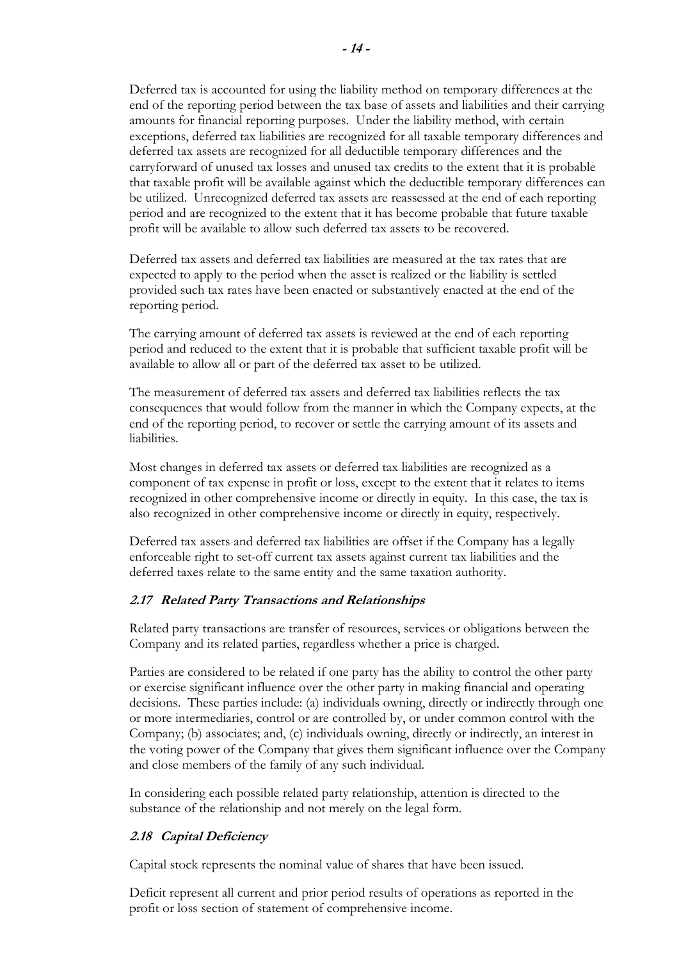Deferred tax is accounted for using the liability method on temporary differences at the end of the reporting period between the tax base of assets and liabilities and their carrying amounts for financial reporting purposes. Under the liability method, with certain exceptions, deferred tax liabilities are recognized for all taxable temporary differences and deferred tax assets are recognized for all deductible temporary differences and the carryforward of unused tax losses and unused tax credits to the extent that it is probable that taxable profit will be available against which the deductible temporary differences can be utilized. Unrecognized deferred tax assets are reassessed at the end of each reporting period and are recognized to the extent that it has become probable that future taxable profit will be available to allow such deferred tax assets to be recovered.

Deferred tax assets and deferred tax liabilities are measured at the tax rates that are expected to apply to the period when the asset is realized or the liability is settled provided such tax rates have been enacted or substantively enacted at the end of the reporting period.

The carrying amount of deferred tax assets is reviewed at the end of each reporting period and reduced to the extent that it is probable that sufficient taxable profit will be available to allow all or part of the deferred tax asset to be utilized.

The measurement of deferred tax assets and deferred tax liabilities reflects the tax consequences that would follow from the manner in which the Company expects, at the end of the reporting period, to recover or settle the carrying amount of its assets and liabilities.

Most changes in deferred tax assets or deferred tax liabilities are recognized as a component of tax expense in profit or loss, except to the extent that it relates to items recognized in other comprehensive income or directly in equity. In this case, the tax is also recognized in other comprehensive income or directly in equity, respectively.

Deferred tax assets and deferred tax liabilities are offset if the Company has a legally enforceable right to set-off current tax assets against current tax liabilities and the deferred taxes relate to the same entity and the same taxation authority.

# **2.17 Related Party Transactions and Relationships**

Related party transactions are transfer of resources, services or obligations between the Company and its related parties, regardless whether a price is charged.

Parties are considered to be related if one party has the ability to control the other party or exercise significant influence over the other party in making financial and operating decisions. These parties include: (a) individuals owning, directly or indirectly through one or more intermediaries, control or are controlled by, or under common control with the Company; (b) associates; and, (c) individuals owning, directly or indirectly, an interest in the voting power of the Company that gives them significant influence over the Company and close members of the family of any such individual.

In considering each possible related party relationship, attention is directed to the substance of the relationship and not merely on the legal form.

# **2.18 Capital Deficiency**

Capital stock represents the nominal value of shares that have been issued.

Deficit represent all current and prior period results of operations as reported in the profit or loss section of statement of comprehensive income.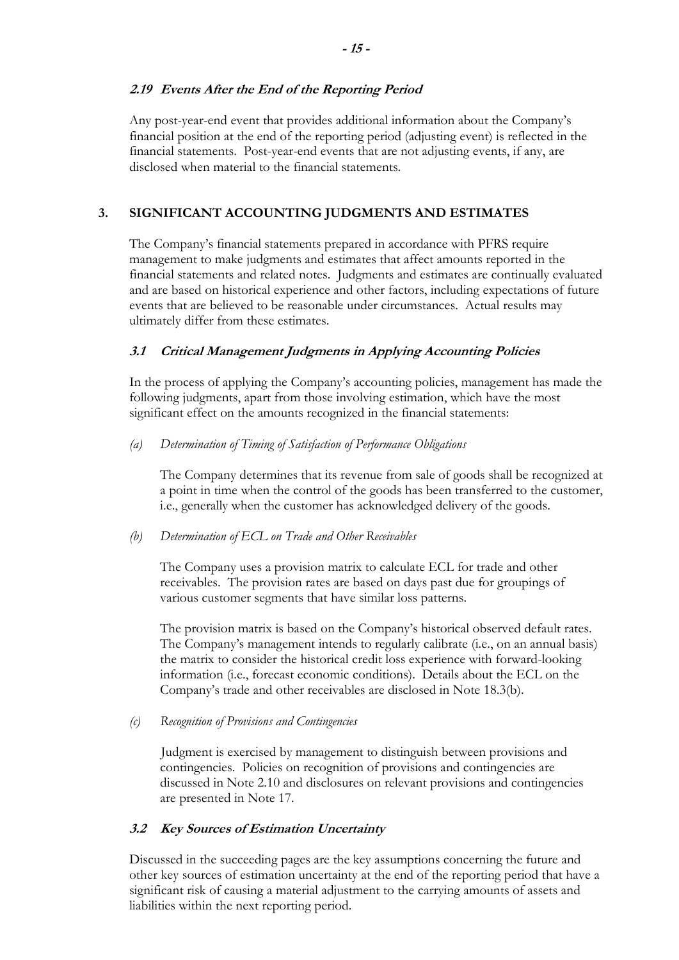# **2.19 Events After the End of the Reporting Period**

Any post-year-end event that provides additional information about the Company's financial position at the end of the reporting period (adjusting event) is reflected in the financial statements. Post-year-end events that are not adjusting events, if any, are disclosed when material to the financial statements.

# **3. SIGNIFICANT ACCOUNTING JUDGMENTS AND ESTIMATES**

The Company's financial statements prepared in accordance with PFRS require management to make judgments and estimates that affect amounts reported in the financial statements and related notes. Judgments and estimates are continually evaluated and are based on historical experience and other factors, including expectations of future events that are believed to be reasonable under circumstances. Actual results may ultimately differ from these estimates.

# **3.1 Critical Management Judgments in Applying Accounting Policies**

In the process of applying the Company's accounting policies, management has made the following judgments, apart from those involving estimation, which have the most significant effect on the amounts recognized in the financial statements:

# *(a) Determination of Timing of Satisfaction of Performance Obligations*

The Company determines that its revenue from sale of goods shall be recognized at a point in time when the control of the goods has been transferred to the customer, i.e., generally when the customer has acknowledged delivery of the goods.

# *(b) Determination of ECL on Trade and Other Receivables*

The Company uses a provision matrix to calculate ECL for trade and other receivables. The provision rates are based on days past due for groupings of various customer segments that have similar loss patterns.

The provision matrix is based on the Company's historical observed default rates. The Company's management intends to regularly calibrate (i.e., on an annual basis) the matrix to consider the historical credit loss experience with forward-looking information (i.e., forecast economic conditions). Details about the ECL on the Company's trade and other receivables are disclosed in Note 18.3(b).

*(c) Recognition of Provisions and Contingencies* 

Judgment is exercised by management to distinguish between provisions and contingencies. Policies on recognition of provisions and contingencies are discussed in Note 2.10 and disclosures on relevant provisions and contingencies are presented in Note 17.

# **3.2 Key Sources of Estimation Uncertainty**

Discussed in the succeeding pages are the key assumptions concerning the future and other key sources of estimation uncertainty at the end of the reporting period that have a significant risk of causing a material adjustment to the carrying amounts of assets and liabilities within the next reporting period.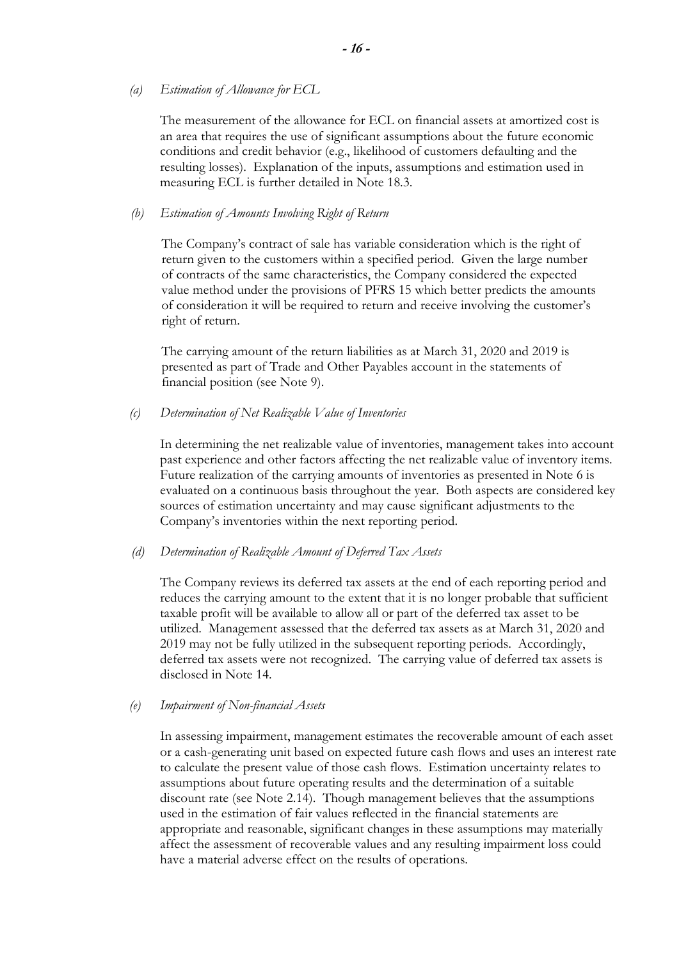*(a) Estimation of Allowance for ECL* 

The measurement of the allowance for ECL on financial assets at amortized cost is an area that requires the use of significant assumptions about the future economic conditions and credit behavior (e.g., likelihood of customers defaulting and the resulting losses). Explanation of the inputs, assumptions and estimation used in measuring ECL is further detailed in Note 18.3.

### *(b) Estimation of Amounts Involving Right of Return*

The Company's contract of sale has variable consideration which is the right of return given to the customers within a specified period. Given the large number of contracts of the same characteristics, the Company considered the expected value method under the provisions of PFRS 15 which better predicts the amounts of consideration it will be required to return and receive involving the customer's right of return.

The carrying amount of the return liabilities as at March 31, 2020 and 2019 is presented as part of Trade and Other Payables account in the statements of financial position (see Note 9).

*(c) Determination of Net Realizable Value of Inventories* 

In determining the net realizable value of inventories, management takes into account past experience and other factors affecting the net realizable value of inventory items. Future realization of the carrying amounts of inventories as presented in Note 6 is evaluated on a continuous basis throughout the year. Both aspects are considered key sources of estimation uncertainty and may cause significant adjustments to the Company's inventories within the next reporting period.

*(d) Determination of Realizable Amount of Deferred Tax Assets* 

The Company reviews its deferred tax assets at the end of each reporting period and reduces the carrying amount to the extent that it is no longer probable that sufficient taxable profit will be available to allow all or part of the deferred tax asset to be utilized. Management assessed that the deferred tax assets as at March 31, 2020 and 2019 may not be fully utilized in the subsequent reporting periods. Accordingly, deferred tax assets were not recognized. The carrying value of deferred tax assets is disclosed in Note 14.

### *(e) Impairment of Non-financial Assets*

In assessing impairment, management estimates the recoverable amount of each asset or a cash-generating unit based on expected future cash flows and uses an interest rate to calculate the present value of those cash flows. Estimation uncertainty relates to assumptions about future operating results and the determination of a suitable discount rate (see Note 2.14). Though management believes that the assumptions used in the estimation of fair values reflected in the financial statements are appropriate and reasonable, significant changes in these assumptions may materially affect the assessment of recoverable values and any resulting impairment loss could have a material adverse effect on the results of operations.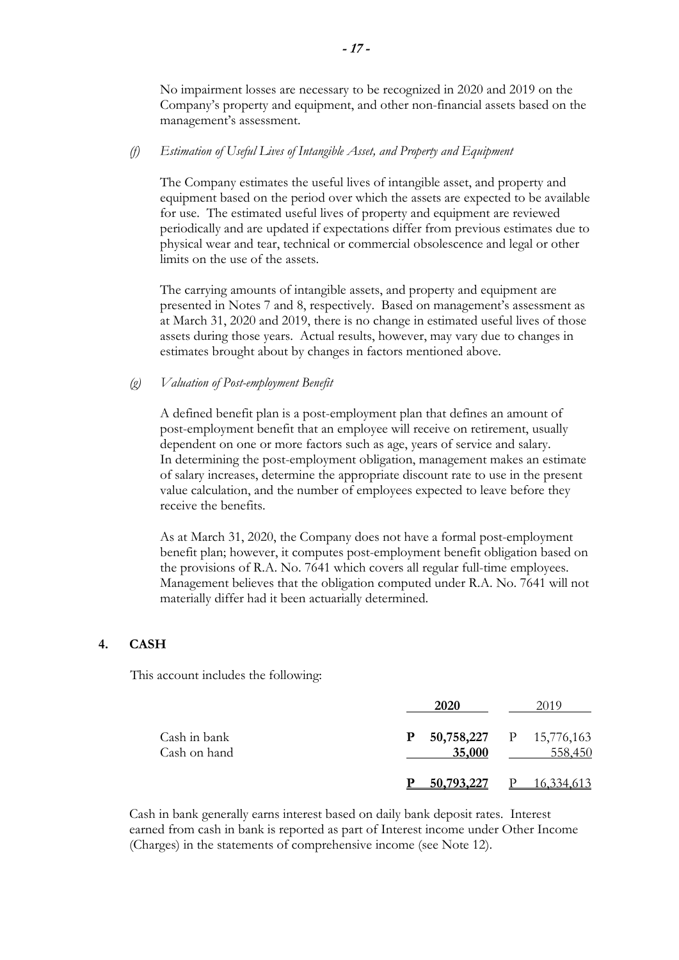No impairment losses are necessary to be recognized in 2020 and 2019 on the Company's property and equipment, and other non-financial assets based on the management's assessment.

### *(f) Estimation of Useful Lives of Intangible Asset, and Property and Equipment*

The Company estimates the useful lives of intangible asset, and property and equipment based on the period over which the assets are expected to be available for use. The estimated useful lives of property and equipment are reviewed periodically and are updated if expectations differ from previous estimates due to physical wear and tear, technical or commercial obsolescence and legal or other limits on the use of the assets.

The carrying amounts of intangible assets, and property and equipment are presented in Notes 7 and 8, respectively. Based on management's assessment as at March 31, 2020 and 2019, there is no change in estimated useful lives of those assets during those years. Actual results, however, may vary due to changes in estimates brought about by changes in factors mentioned above.

#### *(g) Valuation of Post-employment Benefit*

A defined benefit plan is a post-employment plan that defines an amount of post-employment benefit that an employee will receive on retirement, usually dependent on one or more factors such as age, years of service and salary. In determining the post-employment obligation, management makes an estimate of salary increases, determine the appropriate discount rate to use in the present value calculation, and the number of employees expected to leave before they receive the benefits.

As at March 31, 2020, the Company does not have a formal post-employment benefit plan; however, it computes post-employment benefit obligation based on the provisions of R.A. No. 7641 which covers all regular full-time employees. Management believes that the obligation computed under R.A. No. 7641 will not materially differ had it been actuarially determined.

## **4. CASH**

This account includes the following:

|                              | 2020        |                                    |
|------------------------------|-------------|------------------------------------|
| Cash in bank<br>Cash on hand | P<br>35,000 | 50,758,227 P 15,776,163<br>558,450 |
|                              | 50,793,227  | <u>16,334,613</u>                  |

Cash in bank generally earns interest based on daily bank deposit rates. Interest earned from cash in bank is reported as part of Interest income under Other Income (Charges) in the statements of comprehensive income (see Note 12).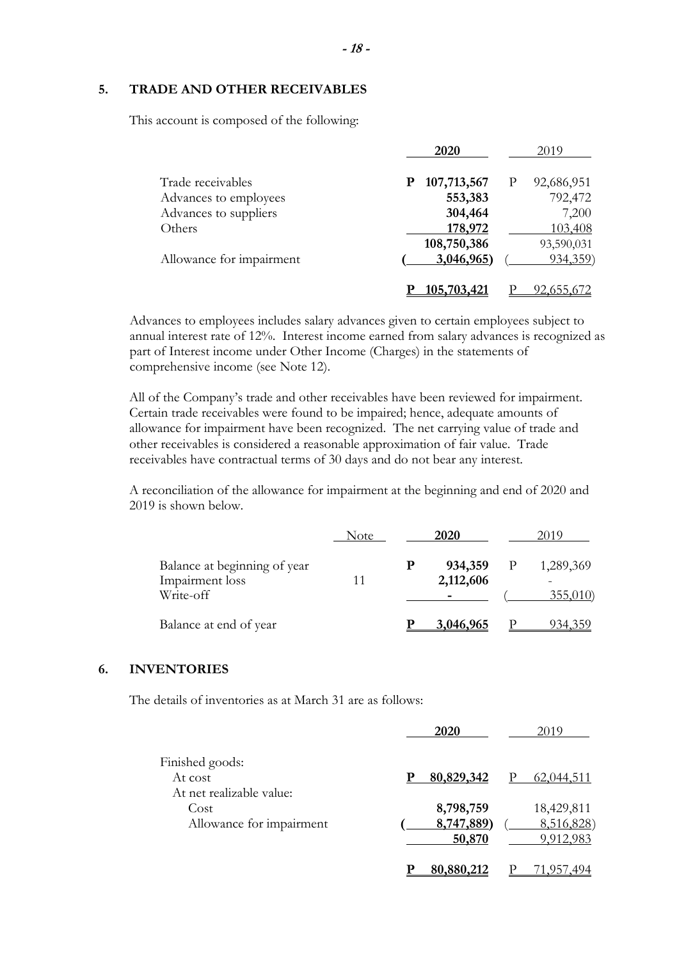#### **5. TRADE AND OTHER RECEIVABLES**

This account is composed of the following:

|                          | 2020               | 2019       |
|--------------------------|--------------------|------------|
| Trade receivables        | 107,713,567<br>P   | 92,686,951 |
| Advances to employees    | 553,383            | 792,472    |
| Advances to suppliers    | 304,464            | 7,200      |
| Others                   | 178,972            | 103,408    |
|                          | 108,750,386        | 93,590,031 |
| Allowance for impairment | 3,046,965)         | 934,359    |
|                          | <u>105,703,421</u> |            |

Advances to employees includes salary advances given to certain employees subject to annual interest rate of 12%. Interest income earned from salary advances is recognized as part of Interest income under Other Income (Charges) in the statements of comprehensive income (see Note 12).

All of the Company's trade and other receivables have been reviewed for impairment. Certain trade receivables were found to be impaired; hence, adequate amounts of allowance for impairment have been recognized. The net carrying value of trade and other receivables is considered a reasonable approximation of fair value. Trade receivables have contractual terms of 30 days and do not bear any interest.

A reconciliation of the allowance for impairment at the beginning and end of 2020 and 2019 is shown below.

|                                                              | Note | 2020                 | 2019 |                      |
|--------------------------------------------------------------|------|----------------------|------|----------------------|
| Balance at beginning of year<br>Impairment loss<br>Write-off |      | 934,359<br>2,112,606 | P    | 1,289,369<br>355,010 |
| Balance at end of year                                       |      | 3,046,965            |      | 934,359              |

#### **6. INVENTORIES**

The details of inventories as at March 31 are as follows:

|                                                        | 2020<br>2019                                                               |
|--------------------------------------------------------|----------------------------------------------------------------------------|
| Finished goods:<br>At cost<br>At net realizable value: | 80,829,342<br>p<br>62,044,511                                              |
| Cost<br>Allowance for impairment                       | 8,798,759<br>18,429,811<br>8,747,889)<br>8,516,828)<br>50,870<br>9,912,983 |
|                                                        | 80,880,212                                                                 |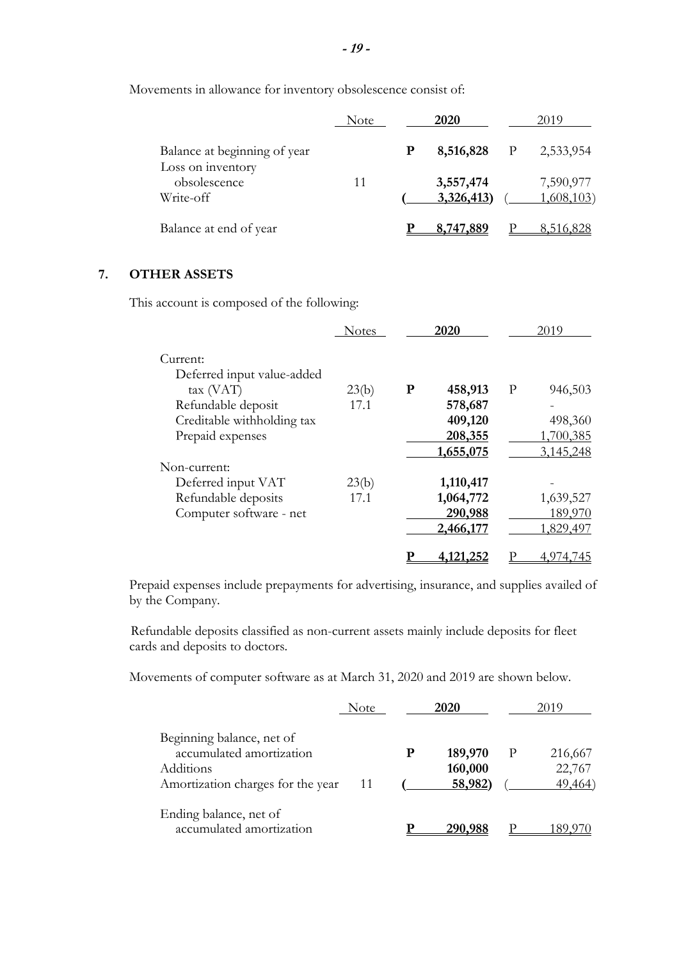Movements in allowance for inventory obsolescence consist of:

|                                                | Note | 2020                   |   | 2019                            |
|------------------------------------------------|------|------------------------|---|---------------------------------|
| Balance at beginning of year                   |      | 8,516,828              | P | 2,533,954                       |
| Loss on inventory<br>obsolescence<br>Write-off | 11   | 3,557,474<br>3,326,413 |   | 7,590,977<br><u>1,608,103</u> ) |
| Balance at end of year                         |      | 8,747,889              |   |                                 |

# **7. OTHER ASSETS**

This account is composed of the following:

|                                        | <b>Notes</b> |           | 2020      |   | 2019      |
|----------------------------------------|--------------|-----------|-----------|---|-----------|
| Current:<br>Deferred input value-added |              |           |           |   |           |
| tax (VAT)                              | 23(b)        | ${\bf P}$ | 458,913   | P | 946,503   |
| Refundable deposit                     | 17.1         |           | 578,687   |   |           |
| Creditable withholding tax             |              |           | 409,120   |   | 498,360   |
| Prepaid expenses                       |              |           | 208,355   |   | 1,700,385 |
|                                        |              |           | 1,655,075 |   | 3,145,248 |
| Non-current:                           |              |           |           |   |           |
| Deferred input VAT                     | 23(b)        |           | 1,110,417 |   |           |
| Refundable deposits                    | 17.1         |           | 1,064,772 |   | 1,639,527 |
| Computer software - net                |              |           | 290,988   |   | 189,970   |
|                                        |              |           | 2,466,177 |   | 1,829,497 |
|                                        |              |           | 4,121,252 |   |           |

Prepaid expenses include prepayments for advertising, insurance, and supplies availed of by the Company.

Refundable deposits classified as non-current assets mainly include deposits for fleet cards and deposits to doctors.

Movements of computer software as at March 31, 2020 and 2019 are shown below.

|                                                                                                         | Note |           | 2020                          | 2019                         |
|---------------------------------------------------------------------------------------------------------|------|-----------|-------------------------------|------------------------------|
| Beginning balance, net of<br>accumulated amortization<br>Additions<br>Amortization charges for the year | -11  | ${\bf P}$ | 189,970<br>160,000<br>58,982) | 216,667<br>22,767<br>49,464) |
| Ending balance, net of<br>accumulated amortization                                                      |      |           | 290.988                       |                              |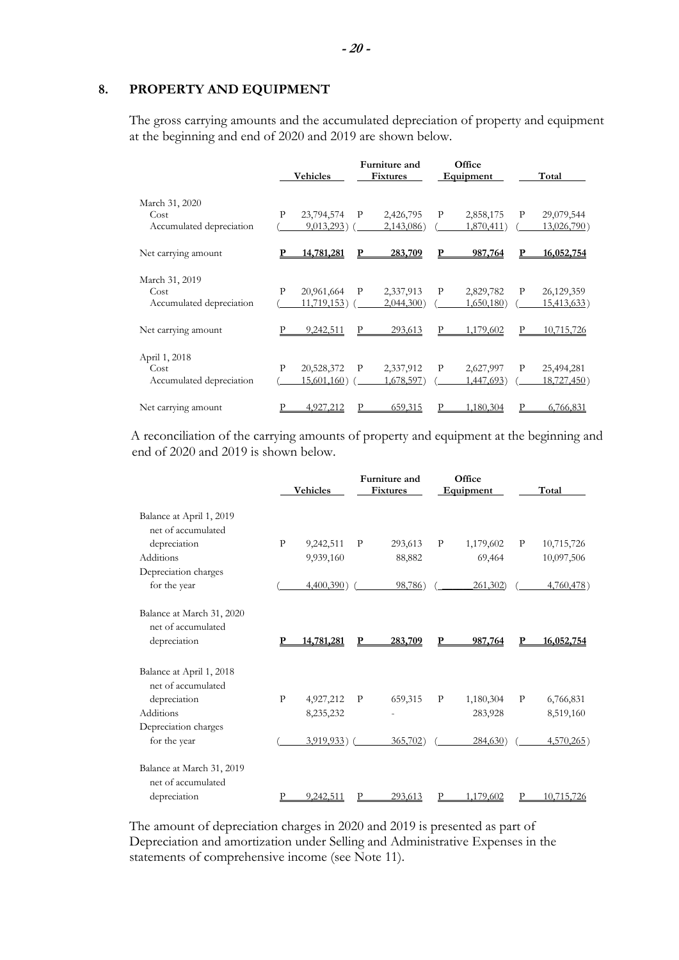### **8. PROPERTY AND EQUIPMENT**

The gross carrying amounts and the accumulated depreciation of property and equipment at the beginning and end of 2020 and 2019 are shown below.

|                          |   | Vehicles       |              | Furniture and<br><b>Fixtures</b> |   | Office<br>Equipment |   | Total       |
|--------------------------|---|----------------|--------------|----------------------------------|---|---------------------|---|-------------|
| March 31, 2020           |   |                |              |                                  |   |                     |   |             |
| Cost                     | P | 23,794,574     | P            | 2,426,795                        | P | 2,858,175           | P | 29,079,544  |
| Accumulated depreciation |   | 9,013,293)     |              | 2,143,086)                       |   | 1,870,411)          |   | 13,026,790) |
| Net carrying amount      |   | 14,781,281     |              | 283,709                          |   | 987,764             | P | 16,052,754  |
| March 31, 2019           |   |                |              |                                  |   |                     |   |             |
| Cost                     | P | 20,961,664     | $\mathbf{P}$ | 2,337,913                        | P | 2,829,782           | P | 26,129,359  |
| Accumulated depreciation |   | $11,719,153$ ) |              | $2,044,300$ )                    |   | 1,650,180           |   | 15,413,633) |
| Net carrying amount      |   | 9,242,511      |              | 293,613                          |   | 1,179,602           |   | 10,715,726  |
| April 1, 2018            |   |                |              |                                  |   |                     |   |             |
| Cost                     | P | 20,528,372     | P            | 2,337,912                        | P | 2,627,997           | P | 25,494,281  |
| Accumulated depreciation |   | 15,601,160)    |              | 1,678,597)                       |   | 1,447,693)          |   | 18,727,450) |
| Net carrying amount      |   | 4,927,212      |              | 659,315                          |   | 1,180,304           |   | 6,766,831   |

 A reconciliation of the carrying amounts of property and equipment at the beginning and end of 2020 and 2019 is shown below.

|                                                 |   | Vehicles      |   | Furniture and<br><b>Fixtures</b> |   | Office<br>Equipment |   | Total         |
|-------------------------------------------------|---|---------------|---|----------------------------------|---|---------------------|---|---------------|
| Balance at April 1, 2019<br>net of accumulated  |   |               |   |                                  |   |                     |   |               |
| depreciation                                    | P | 9,242,511     | P | 293,613                          | P | 1,179,602           | P | 10,715,726    |
| Additions                                       |   | 9,939,160     |   | 88,882                           |   | 69,464              |   | 10,097,506    |
| Depreciation charges                            |   |               |   |                                  |   |                     |   |               |
| for the year                                    |   | $4,400,390$ ) |   | 98,786)                          |   | 261,302)            |   | 4,760,478)    |
| Balance at March 31, 2020<br>net of accumulated |   |               |   |                                  |   |                     |   |               |
| depreciation                                    |   | 14,781,281    |   | 283.709                          |   | 987,764             |   | 16,052,754    |
| Balance at April 1, 2018<br>net of accumulated  |   |               |   |                                  |   |                     |   |               |
| depreciation                                    | P | 4,927,212     | P | 659,315                          | P | 1,180,304           | P | 6,766,831     |
| <b>Additions</b>                                |   | 8,235,232     |   |                                  |   | 283,928             |   | 8,519,160     |
| Depreciation charges                            |   |               |   |                                  |   |                     |   |               |
| for the year                                    |   | 3,919,933)    |   | 365,702)                         |   | 284,630)            |   | $4,570,265$ ) |
| Balance at March 31, 2019<br>net of accumulated |   |               |   |                                  |   |                     |   |               |
| depreciation                                    |   | 9.242.511     |   | 293.613                          |   | 1.179.602           |   | 10.715.726    |

The amount of depreciation charges in 2020 and 2019 is presented as part of Depreciation and amortization under Selling and Administrative Expenses in the statements of comprehensive income (see Note 11).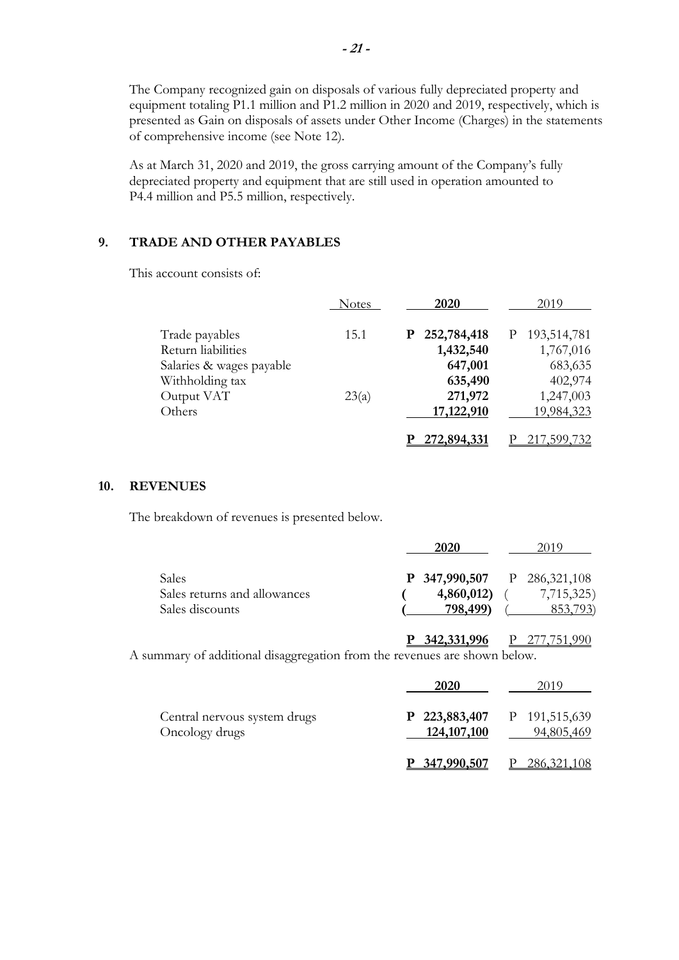The Company recognized gain on disposals of various fully depreciated property and equipment totaling P1.1 million and P1.2 million in 2020 and 2019, respectively, which is presented as Gain on disposals of assets under Other Income (Charges) in the statements of comprehensive income (see Note 12).

As at March 31, 2020 and 2019, the gross carrying amount of the Company's fully depreciated property and equipment that are still used in operation amounted to P4.4 million and P5.5 million, respectively.

### **9. TRADE AND OTHER PAYABLES**

This account consists of:

|                          | <b>Notes</b> | 2020             | 2019             |
|--------------------------|--------------|------------------|------------------|
| Trade payables           | 15.1         | 252,784,418<br>P | 193,514,781<br>P |
| Return liabilities       |              | 1,432,540        | 1,767,016        |
| Salaries & wages payable |              | 647,001          | 683,635          |
| Withholding tax          |              | 635,490          | 402,974          |
| Output VAT               | 23(a)        | 271,972          | 1,247,003        |
| Others                   |              | 17,122,910       | 19,984,323       |
|                          |              | 272,894,331      | <u>599,732,</u>  |

#### **10. REVENUES**

The breakdown of revenues is presented below.

|                                                          | 2020                                                         | 2019                   |
|----------------------------------------------------------|--------------------------------------------------------------|------------------------|
| Sales<br>Sales returns and allowances<br>Sales discounts | <b>P</b> 347,990,507 P 286,321,108<br>4,860,012)<br>798,499) | 7,715,325)<br>853,793) |
|                                                          | <u>342,331,996</u>                                           |                        |

A summary of additional disaggregation from the revenues are shown below.

|                                                | 2020          | 2019                                      |
|------------------------------------------------|---------------|-------------------------------------------|
| Central nervous system drugs<br>Oncology drugs | 124, 107, 100 | P 223,883,407 P 191,515,639<br>94,805,469 |
|                                                | P 347,990,507 | 286, 321, 108                             |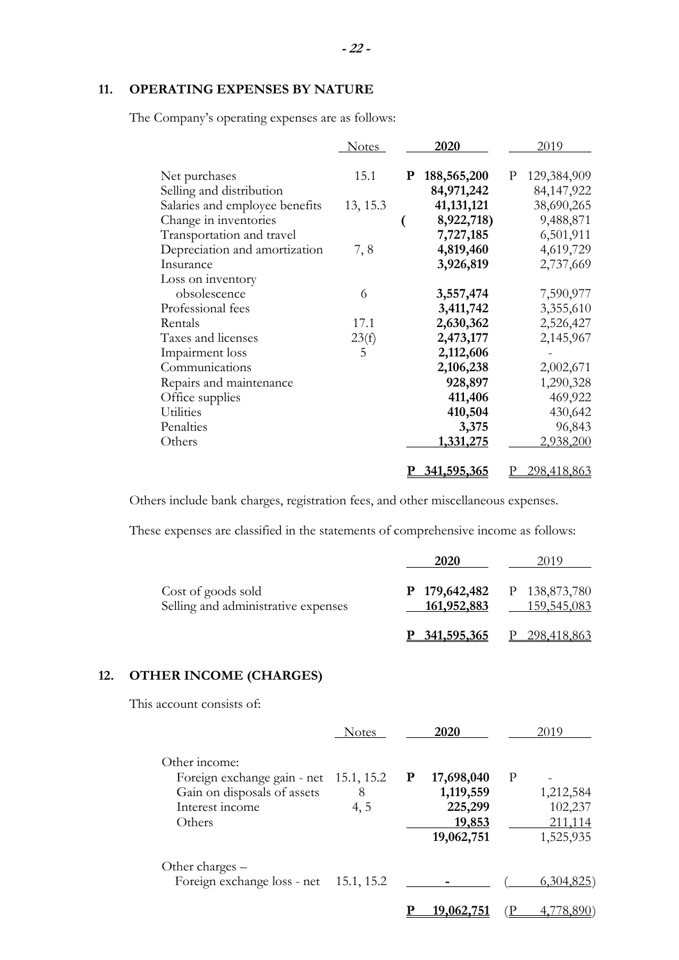# **11. OPERATING EXPENSES BY NATURE**

The Company's operating expenses are as follows:

|                                | <b>Notes</b> |           | 2020         |   | 2019        |
|--------------------------------|--------------|-----------|--------------|---|-------------|
| Net purchases                  | 15.1         | ${\bf P}$ | 188,565,200  | P | 129,384,909 |
| Selling and distribution       |              |           | 84,971,242   |   | 84,147,922  |
| Salaries and employee benefits | 13, 15.3     |           | 41, 131, 121 |   | 38,690,265  |
| Change in inventories          |              |           | 8,922,718)   |   | 9,488,871   |
| Transportation and travel      |              |           | 7,727,185    |   | 6,501,911   |
| Depreciation and amortization  | 7,8          |           | 4,819,460    |   | 4,619,729   |
| Insurance                      |              |           | 3,926,819    |   | 2,737,669   |
| Loss on inventory              |              |           |              |   |             |
| obsolescence                   | 6            |           | 3,557,474    |   | 7,590,977   |
| Professional fees              |              |           | 3,411,742    |   | 3,355,610   |
| Rentals                        | 17.1         |           | 2,630,362    |   | 2,526,427   |
| Taxes and licenses             | 23(f)        |           | 2,473,177    |   | 2,145,967   |
| Impairment loss                | 5            |           | 2,112,606    |   |             |
| Communications                 |              |           | 2,106,238    |   | 2,002,671   |
| Repairs and maintenance        |              |           | 928,897      |   | 1,290,328   |
| Office supplies                |              |           | 411,406      |   | 469,922     |
| Utilities                      |              |           | 410,504      |   | 430,642     |
| Penalties                      |              |           | 3,375        |   | 96,843      |
| Others                         |              |           | 1,331,275    |   | 2,938,200   |
|                                |              |           |              |   |             |
|                                |              |           | 341,595,365  |   | 298,418,863 |

Others include bank charges, registration fees, and other miscellaneous expenses.

These expenses are classified in the statements of comprehensive income as follows:

|                                                           | 2020                                              | 2019        |
|-----------------------------------------------------------|---------------------------------------------------|-------------|
| Cost of goods sold<br>Selling and administrative expenses | <b>P</b> 179,642,482 P 138,873,780<br>161,952,883 | 159,545,083 |
|                                                           | <u>341,595,365</u>                                | 298,418,863 |

# **12. OTHER INCOME (CHARGES)**

This account consists of:

|                                                                                                                     | <b>Notes</b> |   | 2020                                                       |   | 2019                                         |
|---------------------------------------------------------------------------------------------------------------------|--------------|---|------------------------------------------------------------|---|----------------------------------------------|
| Other income:<br>Foreign exchange gain - net 15.1, 15.2<br>Gain on disposals of assets<br>Interest income<br>Others | 8<br>4, 5    | P | 17,698,040<br>1,119,559<br>225,299<br>19,853<br>19,062,751 | P | 1,212,584<br>102,237<br>211,114<br>1,525,935 |
| Other charges –<br>Foreign exchange loss - net 15.1, 15.2                                                           |              |   |                                                            |   | 6,304,825                                    |
|                                                                                                                     |              |   | <u>19,062,75</u>                                           |   |                                              |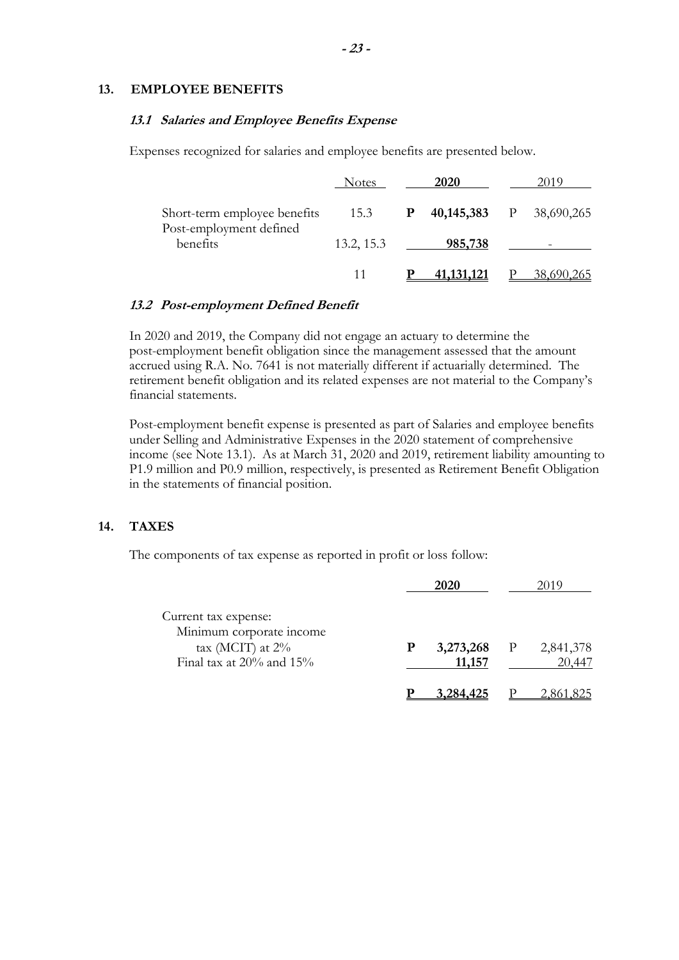#### **13. EMPLOYEE BENEFITS**

### **13.1 Salaries and Employee Benefits Expense**

Expenses recognized for salaries and employee benefits are presented below.

|                                                         | <b>Notes</b> | 2020                             | 2019       |
|---------------------------------------------------------|--------------|----------------------------------|------------|
| Short-term employee benefits<br>Post-employment defined | 15.3         | <b>P</b> 40,145,383 P 38,690,265 |            |
| benefits                                                | 13.2, 15.3   | 985,738                          |            |
|                                                         | 11           | <u>41,131,121</u>                | 38,690,265 |

### **13.2 Post-employment Defined Benefit**

In 2020 and 2019, the Company did not engage an actuary to determine the post-employment benefit obligation since the management assessed that the amount accrued using R.A. No. 7641 is not materially different if actuarially determined. The retirement benefit obligation and its related expenses are not material to the Company's financial statements.

Post-employment benefit expense is presented as part of Salaries and employee benefits under Selling and Administrative Expenses in the 2020 statement of comprehensive income (see Note 13.1). As at March 31, 2020 and 2019, retirement liability amounting to P1.9 million and P0.9 million, respectively, is presented as Retirement Benefit Obligation in the statements of financial position.

### **14. TAXES**

The components of tax expense as reported in profit or loss follow:

|                                                                         | 2020      |              | 2019      |
|-------------------------------------------------------------------------|-----------|--------------|-----------|
| Current tax expense:<br>Minimum corporate income<br>tax (MCIT) at $2\%$ | 3,273,268 | $\mathbf{P}$ | 2,841,378 |
| Final tax at $20\%$ and $15\%$                                          | 11,157    |              | 20,447    |
|                                                                         | 3.284.425 |              |           |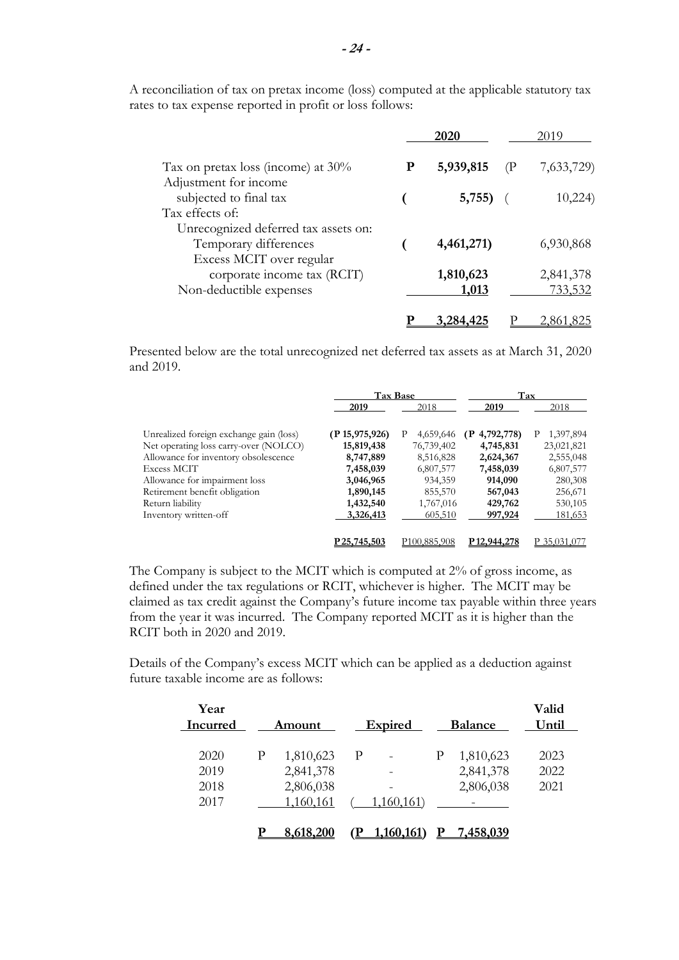|                                                                                           |   | 2020                                    | 2019                 |
|-------------------------------------------------------------------------------------------|---|-----------------------------------------|----------------------|
| Tax on pretax loss (income) at $30\%$<br>Adjustment for income                            | P | 5,939,815<br>$\left( \mathrm{P}\right)$ | 7,633,729)           |
| subjected to final tax<br>Tax effects of:                                                 |   | 5,755)                                  | 10,224)              |
| Unrecognized deferred tax assets on:<br>Temporary differences<br>Excess MCIT over regular |   | 4,461,271)                              | 6,930,868            |
| corporate income tax (RCIT)<br>Non-deductible expenses                                    |   | 1,810,623<br>1,013                      | 2,841,378<br>733,532 |
|                                                                                           |   |                                         | 2.861.8              |

A reconciliation of tax on pretax income (loss) computed at the applicable statutory tax rates to tax expense reported in profit or loss follows:

Presented below are the total unrecognized net deferred tax assets as at March 31, 2020 and 2019.

|                                         |                 | <b>Tax Base</b>          | Tax                      |                |  |
|-----------------------------------------|-----------------|--------------------------|--------------------------|----------------|--|
|                                         | 2019            | 2018                     | 2019                     | 2018           |  |
| Unrealized foreign exchange gain (loss) | (P15, 975, 926) | 4,659,646<br>P           | $(P_4, 792, 778)$        | 1,397,894<br>P |  |
| Net operating loss carry-over (NOLCO)   | 15,819,438      | 76,739,402               | 4,745,831                | 23,021,821     |  |
| Allowance for inventory obsolescence    | 8,747,889       | 8,516,828                | 2,624,367                | 2,555,048      |  |
| Excess MCIT                             | 7,458,039       | 6,807,577                | 7,458,039                | 6,807,577      |  |
| Allowance for impairment loss           | 3,046,965       | 934,359                  | 914,090                  | 280,308        |  |
| Retirement benefit obligation           | 1,890,145       | 855,570                  | 567,043                  | 256,671        |  |
| Return liability                        | 1,432,540       | 1,767,016                | 429,762                  | 530,105        |  |
| Inventory written-off                   | 3,326,413       | 605,510                  | 997,924                  | 181,653        |  |
|                                         | P25,745,503     | P <sub>100.885.908</sub> | P <sub>12</sub> ,944,278 | P 35,031,077   |  |

The Company is subject to the MCIT which is computed at 2% of gross income, as defined under the tax regulations or RCIT, whichever is higher. The MCIT may be claimed as tax credit against the Company's future income tax payable within three years from the year it was incurred. The Company reported MCIT as it is higher than the RCIT both in 2020 and 2019.

Details of the Company's excess MCIT which can be applied as a deduction against future taxable income are as follows:

| Year<br>Incurred             |   | <b>Amount</b>                                    |   | <b>Expired</b> |   | <b>Balance</b>                      | Valid<br>Until       |
|------------------------------|---|--------------------------------------------------|---|----------------|---|-------------------------------------|----------------------|
| 2020<br>2019<br>2018<br>2017 | P | 1,810,623<br>2,841,378<br>2,806,038<br>1,160,161 | P | 1,160,161)     | P | 1,810,623<br>2,841,378<br>2,806,038 | 2023<br>2022<br>2021 |
|                              |   | 8,618,200                                        |   | 1,160,161      |   | 7,458,039                           |                      |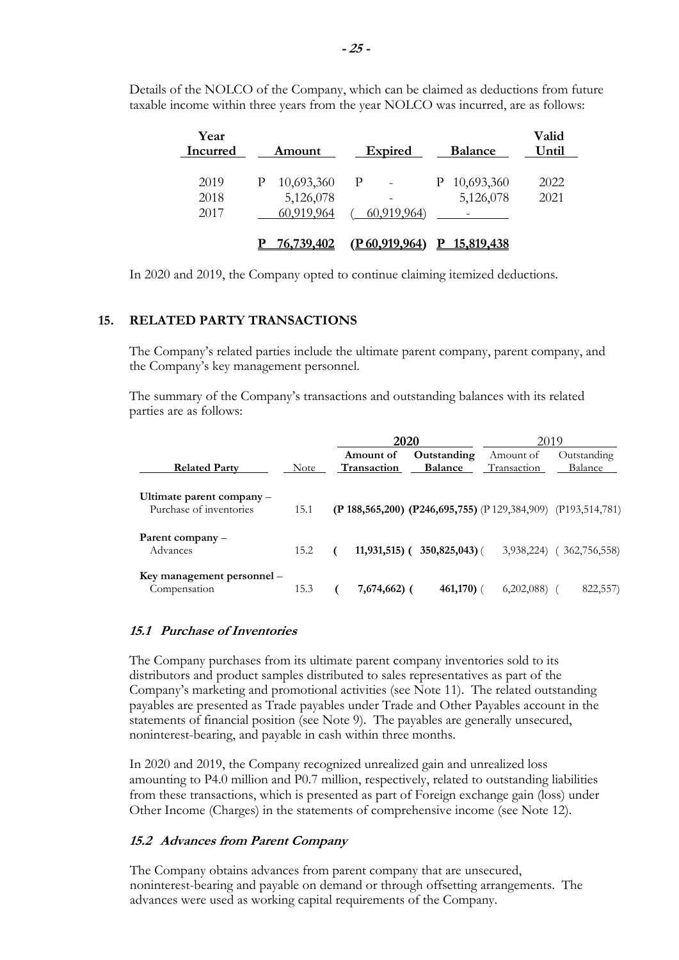| Year<br>Incurred     | <u>Amount</u>                              | <b>Expired</b><br><b>Balance</b>                                     | Valid<br>Until |
|----------------------|--------------------------------------------|----------------------------------------------------------------------|----------------|
| 2019<br>2018<br>2017 | 10,693,360<br>Р<br>5,126,078<br>60,919,964 | P 10,693,360<br>- P<br>$\qquad \qquad -$<br>5,126,078<br>60,919,964) | 2022<br>2021   |
|                      | <u>76,739,402</u>                          | <u>15,819,438</u><br><u>(P 60,919,964)</u>                           |                |

Details of the NOLCO of the Company, which can be claimed as deductions from future taxable income within three years from the year NOLCO was incurred, are as follows:

In 2020 and 2019, the Company opted to continue claiming itemized deductions.

### **15. RELATED PARTY TRANSACTIONS**

The Company's related parties include the ultimate parent company, parent company, and the Company's key management personnel.

The summary of the Company's transactions and outstanding balances with its related parties are as follows:

|                                                      |             | 2020                            |                                                                         | 2019                     |                        |
|------------------------------------------------------|-------------|---------------------------------|-------------------------------------------------------------------------|--------------------------|------------------------|
| <b>Related Party</b>                                 | <b>Note</b> | Amount of<br><b>Transaction</b> | Outstanding<br><b>Balance</b>                                           | Amount of<br>Transaction | Outstanding<br>Balance |
| Ultimate parent company –<br>Purchase of inventories | 15.1        |                                 | (P 188, 565, 200) (P 246, 695, 755) (P 129, 384, 909) (P 193, 514, 781) |                          |                        |
| Parent company –<br>Advances                         | 15.2        | $11,931,515$ ) (                | $350,825,043$ ) (                                                       | 3,938,224)               | 362,756,558)           |
| Key management personnel –<br>Compensation           | 15.3        | 7,674,662) (                    | 461,170)                                                                | 6,202,088                | 822,557)               |

### **15.1 Purchase of Inventories**

The Company purchases from its ultimate parent company inventories sold to its distributors and product samples distributed to sales representatives as part of the Company's marketing and promotional activities (see Note 11). The related outstanding payables are presented as Trade payables under Trade and Other Payables account in the statements of financial position (see Note 9). The payables are generally unsecured, noninterest-bearing, and payable in cash within three months.

In 2020 and 2019, the Company recognized unrealized gain and unrealized loss amounting to P4.0 million and P0.7 million, respectively, related to outstanding liabilities from these transactions, which is presented as part of Foreign exchange gain (loss) under Other Income (Charges) in the statements of comprehensive income (see Note 12).

### **15.2 Advances from Parent Company**

The Company obtains advances from parent company that are unsecured, noninterest-bearing and payable on demand or through offsetting arrangements. The advances were used as working capital requirements of the Company.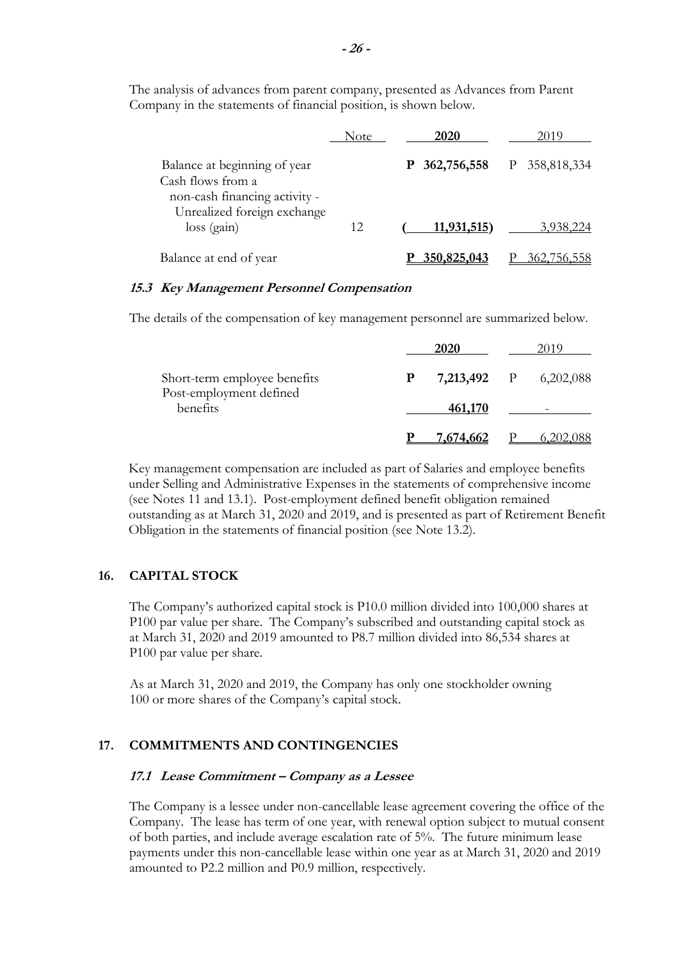|                                                                                                                   | Note | 2020             | 2019             |
|-------------------------------------------------------------------------------------------------------------------|------|------------------|------------------|
| Balance at beginning of year<br>Cash flows from a<br>non-cash financing activity -<br>Unrealized foreign exchange |      | 362,756,558<br>P | 358,818,334<br>P |
| loss (gain)                                                                                                       | 12   | 11,931,515)      | 3,938,224        |
| Balance at end of year                                                                                            |      | 350,825,043      | ' 56             |

The analysis of advances from parent company, presented as Advances from Parent Company in the statements of financial position, is shown below.

### **15.3 Key Management Personnel Compensation**

The details of the compensation of key management personnel are summarized below.

|                                     |   | 2020        | ∠019                     |
|-------------------------------------|---|-------------|--------------------------|
| Short-term employee benefits        | P | 7,213,492 P | 6,202,088                |
| Post-employment defined<br>benefits |   | 461,170     | $\overline{\phantom{0}}$ |
|                                     |   | 7.674.662   |                          |

Key management compensation are included as part of Salaries and employee benefits under Selling and Administrative Expenses in the statements of comprehensive income (see Notes 11 and 13.1). Post-employment defined benefit obligation remained outstanding as at March 31, 2020 and 2019, and is presented as part of Retirement Benefit Obligation in the statements of financial position (see Note 13.2).

### **16. CAPITAL STOCK**

The Company's authorized capital stock is P10.0 million divided into 100,000 shares at P100 par value per share. The Company's subscribed and outstanding capital stock as at March 31, 2020 and 2019 amounted to P8.7 million divided into 86,534 shares at P100 par value per share.

As at March 31, 2020 and 2019, the Company has only one stockholder owning 100 or more shares of the Company's capital stock.

# **17. COMMITMENTS AND CONTINGENCIES**

### **17.1 Lease Commitment – Company as a Lessee**

The Company is a lessee under non-cancellable lease agreement covering the office of the Company. The lease has term of one year, with renewal option subject to mutual consent of both parties, and include average escalation rate of 5%. The future minimum lease payments under this non-cancellable lease within one year as at March 31, 2020 and 2019 amounted to P2.2 million and P0.9 million, respectively.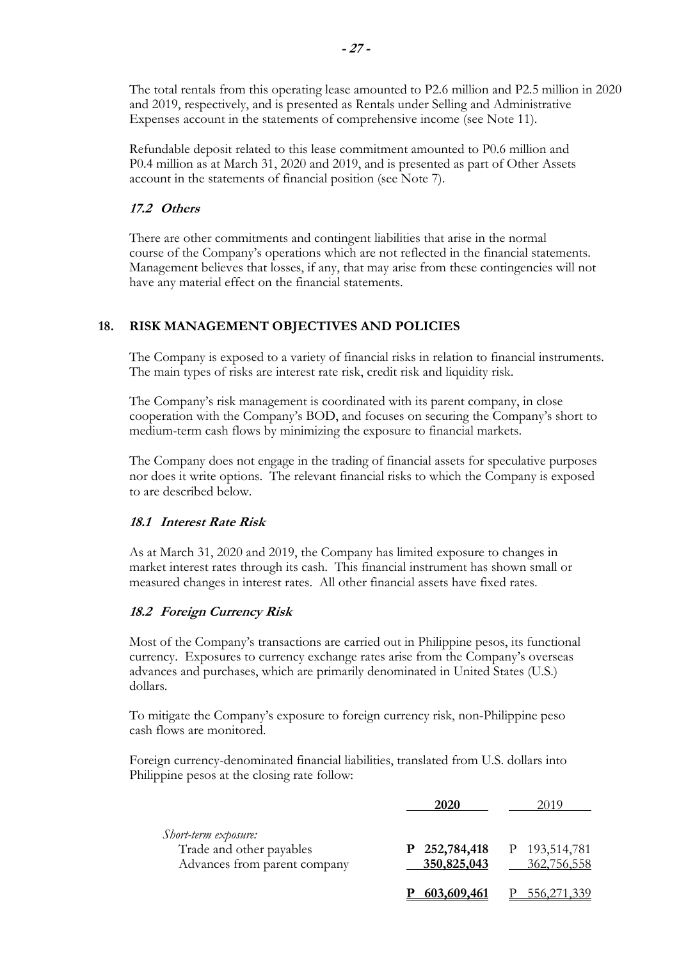The total rentals from this operating lease amounted to P2.6 million and P2.5 million in 2020 and 2019, respectively, and is presented as Rentals under Selling and Administrative Expenses account in the statements of comprehensive income (see Note 11).

Refundable deposit related to this lease commitment amounted to P0.6 million and P0.4 million as at March 31, 2020 and 2019, and is presented as part of Other Assets account in the statements of financial position (see Note 7).

## **17.2 Others**

There are other commitments and contingent liabilities that arise in the normal course of the Company's operations which are not reflected in the financial statements. Management believes that losses, if any, that may arise from these contingencies will not have any material effect on the financial statements.

# **18. RISK MANAGEMENT OBJECTIVES AND POLICIES**

The Company is exposed to a variety of financial risks in relation to financial instruments. The main types of risks are interest rate risk, credit risk and liquidity risk.

The Company's risk management is coordinated with its parent company, in close cooperation with the Company's BOD, and focuses on securing the Company's short to medium-term cash flows by minimizing the exposure to financial markets.

The Company does not engage in the trading of financial assets for speculative purposes nor does it write options. The relevant financial risks to which the Company is exposed to are described below.

### **18.1 Interest Rate Risk**

As at March 31, 2020 and 2019, the Company has limited exposure to changes in market interest rates through its cash. This financial instrument has shown small or measured changes in interest rates. All other financial assets have fixed rates.

# **18.2 Foreign Currency Risk**

Most of the Company's transactions are carried out in Philippine pesos, its functional currency. Exposures to currency exchange rates arise from the Company's overseas advances and purchases, which are primarily denominated in United States (U.S.) dollars.

To mitigate the Company's exposure to foreign currency risk, non-Philippine peso cash flows are monitored.

Foreign currency-denominated financial liabilities, translated from U.S. dollars into Philippine pesos at the closing rate follow:

|                                                                                  | <b>2020</b>                | 2019                         |
|----------------------------------------------------------------------------------|----------------------------|------------------------------|
| Short-term exposure:<br>Trade and other payables<br>Advances from parent company | 252,784,418<br>350,825,043 | P 193,514,781<br>362,756,558 |
|                                                                                  | 603,609,461                | 556,271,339                  |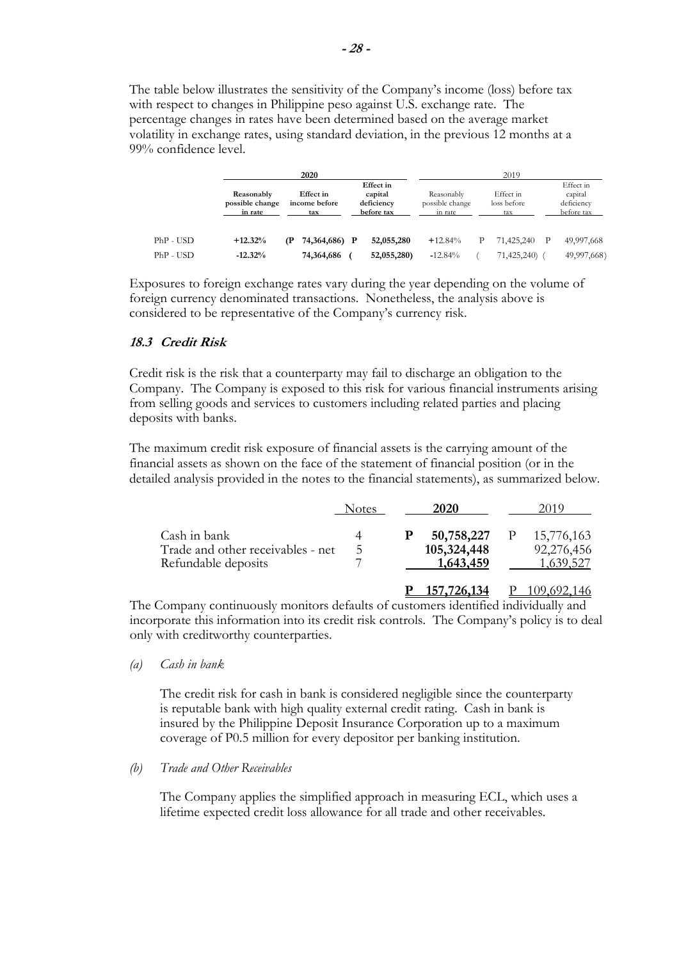The table below illustrates the sensitivity of the Company's income (loss) before tax with respect to changes in Philippine peso against U.S. exchange rate. The percentage changes in rates have been determined based on the average market volatility in exchange rates, using standard deviation, in the previous 12 months at a 99% confidence level.

|           |                                          | 2020                              |                                                         |                                          |   | 2019                            |                                                  |
|-----------|------------------------------------------|-----------------------------------|---------------------------------------------------------|------------------------------------------|---|---------------------------------|--------------------------------------------------|
|           | Reasonably<br>possible change<br>in rate | Effect in<br>income before<br>tax | <b>Effect</b> in<br>capital<br>deficiency<br>before tax | Reasonably<br>possible change<br>in rate |   | Effect in<br>loss before<br>tax | Effect in<br>capital<br>deficiency<br>before tax |
| PhP - USD | $+12.32%$                                | 74,364,686) P<br>(P               | 52,055,280                                              | $+12.84%$                                | P | 71,425,240                      | 49,997,668                                       |
| PhP - USD | $-12.32%$                                | 74,364,686                        | 52,055,280)                                             | $-12.84%$                                |   | 71,425,240)                     | 49,997,668)                                      |

Exposures to foreign exchange rates vary during the year depending on the volume of foreign currency denominated transactions. Nonetheless, the analysis above is considered to be representative of the Company's currency risk.

# **18.3 Credit Risk**

Credit risk is the risk that a counterparty may fail to discharge an obligation to the Company. The Company is exposed to this risk for various financial instruments arising from selling goods and services to customers including related parties and placing deposits with banks.

The maximum credit risk exposure of financial assets is the carrying amount of the financial assets as shown on the face of the statement of financial position (or in the detailed analysis provided in the notes to the financial statements), as summarized below.

|                                                                          | Notes | 2020                                   | 2019                                         |
|--------------------------------------------------------------------------|-------|----------------------------------------|----------------------------------------------|
| Cash in bank<br>Trade and other receivables - net<br>Refundable deposits | C.    | 50,758,227<br>105,324,448<br>1,643,459 | 15,776,163<br>92,276,456<br><u>1,639,527</u> |
|                                                                          |       | 157.726.134                            |                                              |

The Company continuously monitors defaults of customers identified individually and incorporate this information into its credit risk controls. The Company's policy is to deal only with creditworthy counterparties.

*(a) Cash in bank* 

The credit risk for cash in bank is considered negligible since the counterparty is reputable bank with high quality external credit rating. Cash in bank is insured by the Philippine Deposit Insurance Corporation up to a maximum coverage of P0.5 million for every depositor per banking institution.

*(b) Trade and Other Receivables* 

The Company applies the simplified approach in measuring ECL, which uses a lifetime expected credit loss allowance for all trade and other receivables.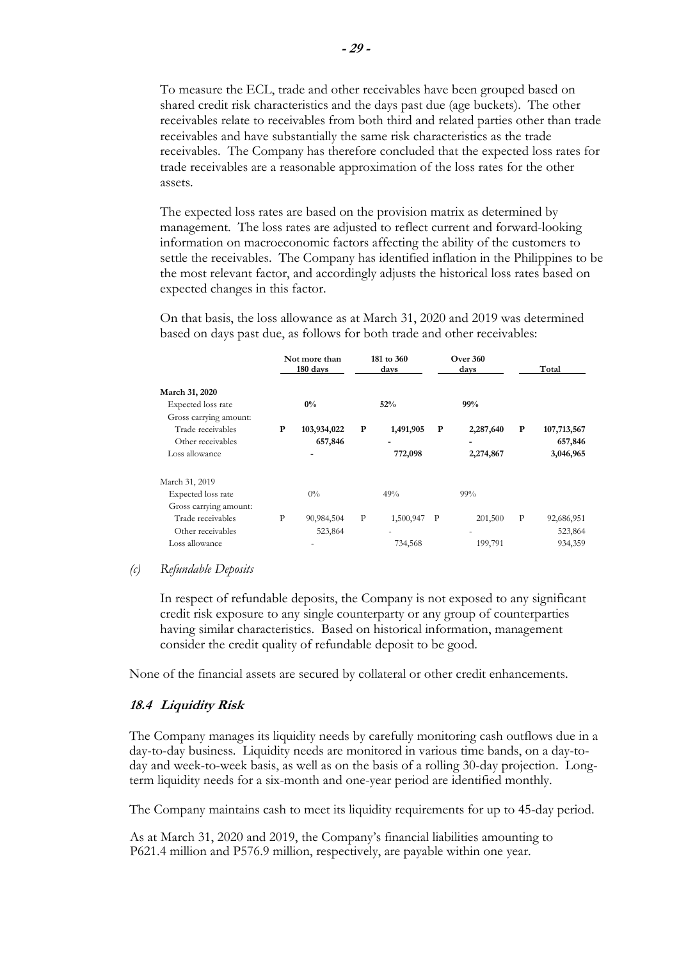To measure the ECL, trade and other receivables have been grouped based on shared credit risk characteristics and the days past due (age buckets). The other receivables relate to receivables from both third and related parties other than trade receivables and have substantially the same risk characteristics as the trade receivables. The Company has therefore concluded that the expected loss rates for trade receivables are a reasonable approximation of the loss rates for the other assets.

The expected loss rates are based on the provision matrix as determined by management. The loss rates are adjusted to reflect current and forward-looking information on macroeconomic factors affecting the ability of the customers to settle the receivables. The Company has identified inflation in the Philippines to be the most relevant factor, and accordingly adjusts the historical loss rates based on expected changes in this factor.

**Not more than** 181 to 360 **Over 360**<br>180 days days days **180 days** days days days Total **March 31, 2020**  Expected loss rate **0% 52% 99%**  Gross carrying amount: Trade receivables **P 103,934,022 P 1,491,905 P 2,287,640 P 107,713,567**  Other receivables **657,846** - **657,846** - **120.000 - 657,846**  Loss allowance **- 772,098 2,274,867 3,046,965**  March 31, 2019 Expected loss rate  $0\%$  49% 99% 99% Gross carrying amount: Trade receivables P 90,984,504 P 1,500,947 P 201,500 P 92,686,951

On that basis, the loss allowance as at March 31, 2020 and 2019 was determined based on days past due, as follows for both trade and other receivables:

### *(c) Refundable Deposits*

In respect of refundable deposits, the Company is not exposed to any significant credit risk exposure to any single counterparty or any group of counterparties having similar characteristics. Based on historical information, management consider the credit quality of refundable deposit to be good.

None of the financial assets are secured by collateral or other credit enhancements.

Other receivables 523,864 - 523,864 523,864 523,864 523,864 5323,864 Loss allowance 199,791 199,791 199,791 199,791 199,791 199,791 199,791 199,791 199,791 199,791 199,791 199,791

#### **18.4 Liquidity Risk**

The Company manages its liquidity needs by carefully monitoring cash outflows due in a day-to-day business. Liquidity needs are monitored in various time bands, on a day-today and week-to-week basis, as well as on the basis of a rolling 30-day projection. Longterm liquidity needs for a six-month and one-year period are identified monthly.

The Company maintains cash to meet its liquidity requirements for up to 45-day period.

 As at March 31, 2020 and 2019, the Company's financial liabilities amounting to P621.4 million and P576.9 million, respectively, are payable within one year.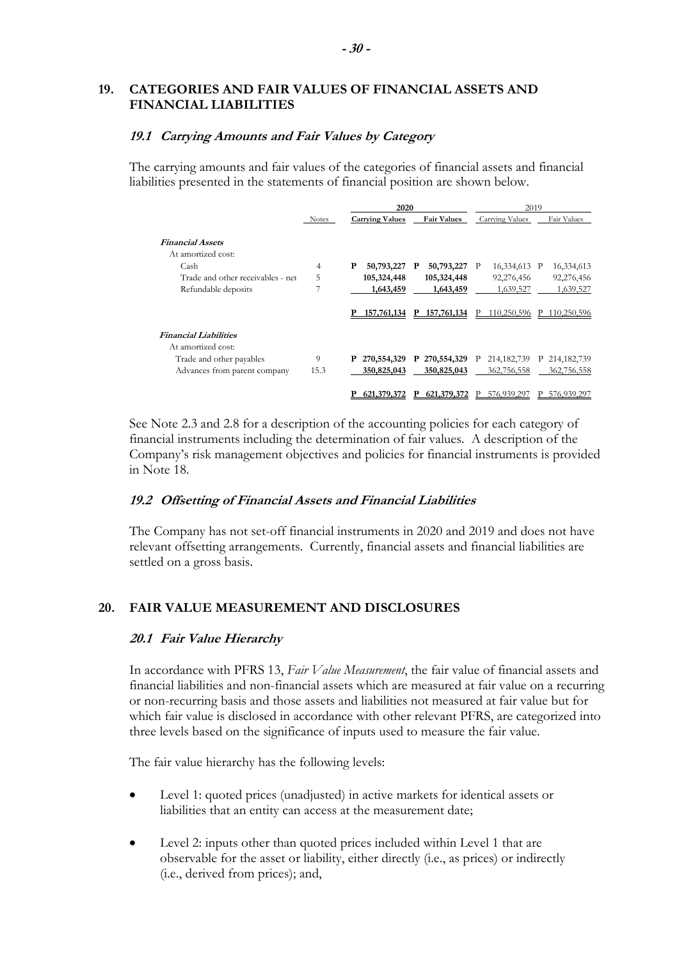# **19. CATEGORIES AND FAIR VALUES OF FINANCIAL ASSETS AND FINANCIAL LIABILITIES**

### **19.1 Carrying Amounts and Fair Values by Category**

The carrying amounts and fair values of the categories of financial assets and financial liabilities presented in the statements of financial position are shown below.

|                                   |       | 2020                   |                            |                    |               | 2019 |  |
|-----------------------------------|-------|------------------------|----------------------------|--------------------|---------------|------|--|
|                                   | Notes | <b>Carrying Values</b> | <b>Fair Values</b>         | Carrying Values    | Fair Values   |      |  |
| <b>Financial Assets</b>           |       |                        |                            |                    |               |      |  |
| At amortized cost:                |       |                        |                            |                    |               |      |  |
| Cash                              | 4     | P<br>50,793,227        | 50,793,227<br>$\mathbf{P}$ | 16,334,613 P<br>P  | 16,334,613    |      |  |
| Trade and other receivables - net | 5     | 105,324,448            | 105,324,448                | 92,276,456         | 92,276,456    |      |  |
| Refundable deposits               | 7     | 1,643,459              | 1,643,459                  | 1,639,527          | 1,639,527     |      |  |
|                                   |       | 157,761,134<br>Р       | 157,761,134<br>P.          | 110,250,596<br>P   | 110,250,596   |      |  |
| <b>Financial Liabilities</b>      |       |                        |                            |                    |               |      |  |
| At amortized cost:                |       |                        |                            |                    |               |      |  |
| Trade and other payables          | 9     | P<br>270,554,329       | P 270,554,329              | 214, 182, 739<br>P | P 214,182,739 |      |  |
| Advances from parent company      | 15.3  | 350,825,043            | 350,825,043                | 362,756,558        | 362,756,558   |      |  |
|                                   |       | 621,379,372            | 621,379,372                | 576,939,297        | 576,939,297   |      |  |

See Note 2.3 and 2.8 for a description of the accounting policies for each category of financial instruments including the determination of fair values. A description of the Company's risk management objectives and policies for financial instruments is provided in Note 18.

# **19.2 Offsetting of Financial Assets and Financial Liabilities**

The Company has not set-off financial instruments in 2020 and 2019 and does not have relevant offsetting arrangements. Currently, financial assets and financial liabilities are settled on a gross basis.

# **20. FAIR VALUE MEASUREMENT AND DISCLOSURES**

### **20.1 Fair Value Hierarchy**

In accordance with PFRS 13, *Fair Value Measurement*, the fair value of financial assets and financial liabilities and non-financial assets which are measured at fair value on a recurring or non-recurring basis and those assets and liabilities not measured at fair value but for which fair value is disclosed in accordance with other relevant PFRS, are categorized into three levels based on the significance of inputs used to measure the fair value.

The fair value hierarchy has the following levels:

- Level 1: quoted prices (unadjusted) in active markets for identical assets or liabilities that an entity can access at the measurement date;
- Level 2: inputs other than quoted prices included within Level 1 that are observable for the asset or liability, either directly (i.e., as prices) or indirectly (i.e., derived from prices); and,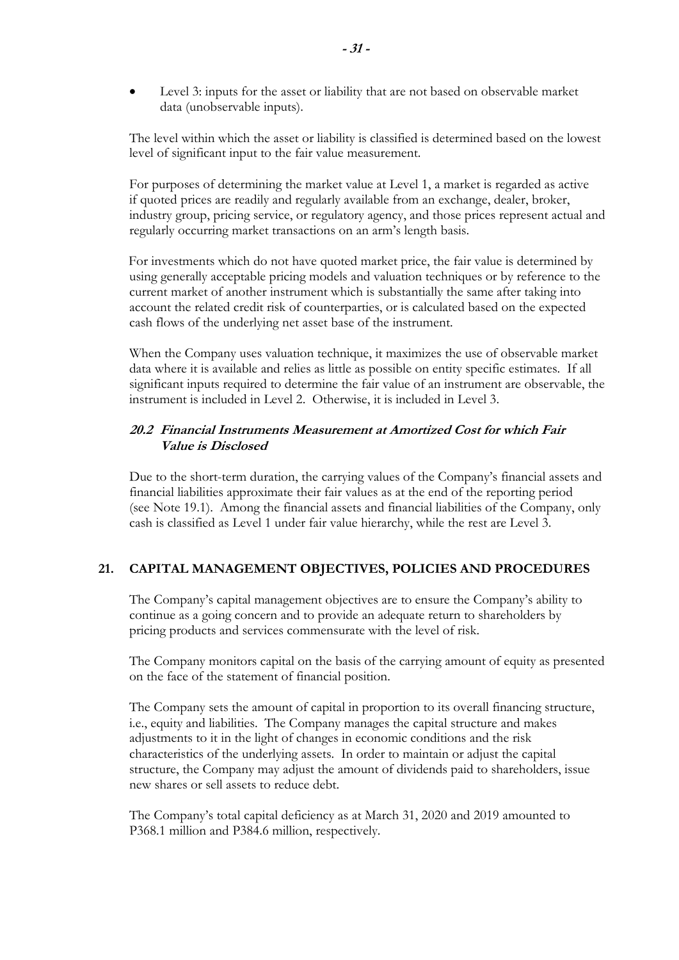Level 3: inputs for the asset or liability that are not based on observable market data (unobservable inputs).

The level within which the asset or liability is classified is determined based on the lowest level of significant input to the fair value measurement.

For purposes of determining the market value at Level 1, a market is regarded as active if quoted prices are readily and regularly available from an exchange, dealer, broker, industry group, pricing service, or regulatory agency, and those prices represent actual and regularly occurring market transactions on an arm's length basis.

For investments which do not have quoted market price, the fair value is determined by using generally acceptable pricing models and valuation techniques or by reference to the current market of another instrument which is substantially the same after taking into account the related credit risk of counterparties, or is calculated based on the expected cash flows of the underlying net asset base of the instrument.

When the Company uses valuation technique, it maximizes the use of observable market data where it is available and relies as little as possible on entity specific estimates. If all significant inputs required to determine the fair value of an instrument are observable, the instrument is included in Level 2. Otherwise, it is included in Level 3.

# **20.2 Financial Instruments Measurement at Amortized Cost for which Fair Value is Disclosed**

Due to the short-term duration, the carrying values of the Company's financial assets and financial liabilities approximate their fair values as at the end of the reporting period (see Note 19.1). Among the financial assets and financial liabilities of the Company, only cash is classified as Level 1 under fair value hierarchy, while the rest are Level 3.

# **21. CAPITAL MANAGEMENT OBJECTIVES, POLICIES AND PROCEDURES**

The Company's capital management objectives are to ensure the Company's ability to continue as a going concern and to provide an adequate return to shareholders by pricing products and services commensurate with the level of risk.

The Company monitors capital on the basis of the carrying amount of equity as presented on the face of the statement of financial position.

The Company sets the amount of capital in proportion to its overall financing structure, i.e., equity and liabilities. The Company manages the capital structure and makes adjustments to it in the light of changes in economic conditions and the risk characteristics of the underlying assets. In order to maintain or adjust the capital structure, the Company may adjust the amount of dividends paid to shareholders, issue new shares or sell assets to reduce debt.

The Company's total capital deficiency as at March 31, 2020 and 2019 amounted to P368.1 million and P384.6 million, respectively.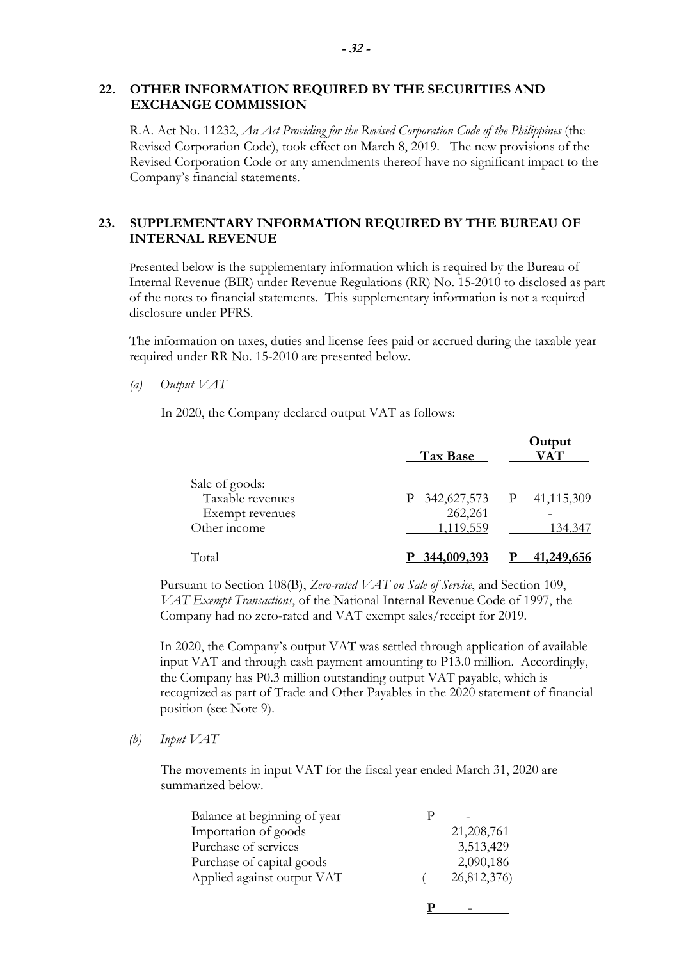## **22. OTHER INFORMATION REQUIRED BY THE SECURITIES AND EXCHANGE COMMISSION**

R.A. Act No. 11232, *An Act Providing for the Revised Corporation Code of the Philippines* (the Revised Corporation Code), took effect on March 8, 2019. The new provisions of the Revised Corporation Code or any amendments thereof have no significant impact to the Company's financial statements.

# **23. SUPPLEMENTARY INFORMATION REQUIRED BY THE BUREAU OF INTERNAL REVENUE**

Presented below is the supplementary information which is required by the Bureau of Internal Revenue (BIR) under Revenue Regulations (RR) No. 15-2010 to disclosed as part of the notes to financial statements. This supplementary information is not a required disclosure under PFRS.

The information on taxes, duties and license fees paid or accrued during the taxable year required under RR No. 15-2010 are presented below.

*(a) Output VAT* 

In 2020, the Company declared output VAT as follows:

|                                                                       | Tax Base                         | Output<br><b>VAT</b>                |
|-----------------------------------------------------------------------|----------------------------------|-------------------------------------|
| Sale of goods:<br>Taxable revenues<br>Exempt revenues<br>Other income | P<br>262,261<br><u>1,119,559</u> | 342,627,573 P 41,115,309<br>134,347 |
| Total                                                                 | 344,009,393                      | <u>41,249,656</u>                   |

Pursuant to Section 108(B), *Zero-rated VAT on Sale of Service*, and Section 109, *VAT Exempt Transactions*, of the National Internal Revenue Code of 1997, the Company had no zero-rated and VAT exempt sales/receipt for 2019.

In 2020, the Company's output VAT was settled through application of available input VAT and through cash payment amounting to P13.0 million. Accordingly, the Company has P0.3 million outstanding output VAT payable, which is recognized as part of Trade and Other Payables in the 2020 statement of financial position (see Note 9).

*(b) Input VAT* 

The movements in input VAT for the fiscal year ended March 31, 2020 are summarized below.

| Balance at beginning of year |             |
|------------------------------|-------------|
| Importation of goods         | 21,208,761  |
| Purchase of services         | 3,513,429   |
| Purchase of capital goods    | 2,090,186   |
| Applied against output VAT   | 26,812,376) |
|                              |             |

**P** - **P** - **P** 

 **- 32 -**